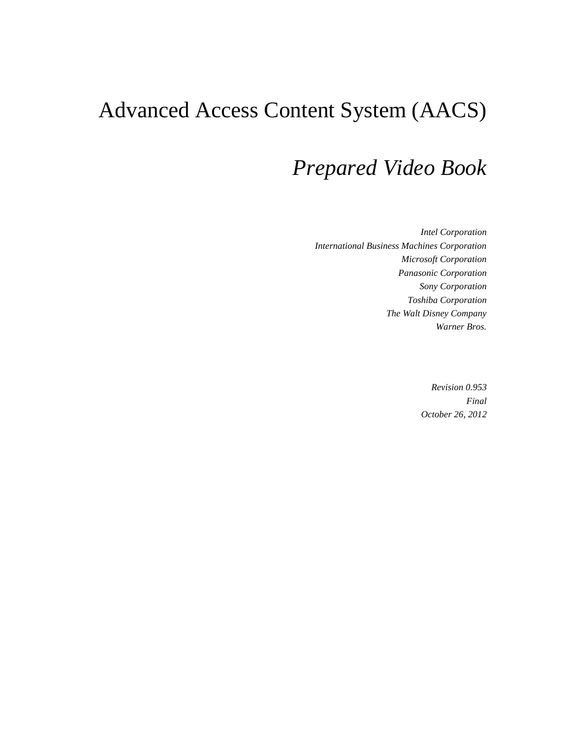# Advanced Access Content System (AACS)

# *Prepared Video Book*

*Intel Corporation International Business Machines Corporation Microsoft Corporation Panasonic Corporation Sony Corporation Toshiba Corporation The Walt Disney Company Warner Bros.*

> *Revision 0.953 Final October 26, 2012*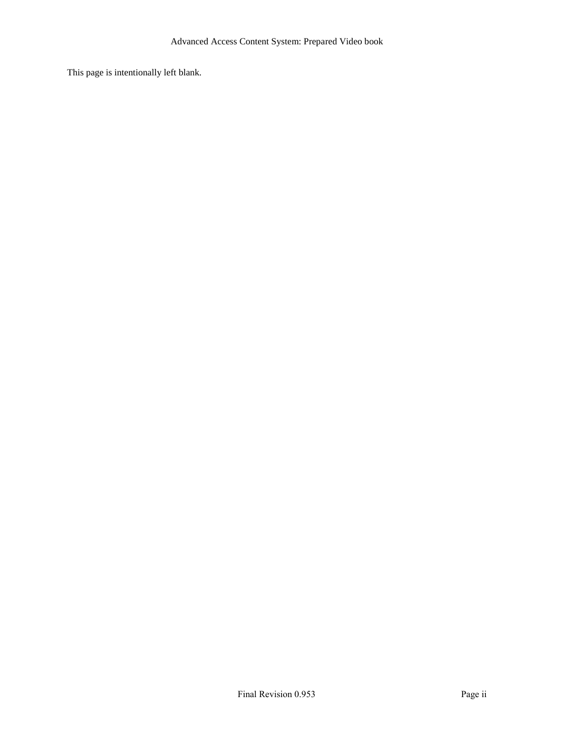This page is intentionally left blank.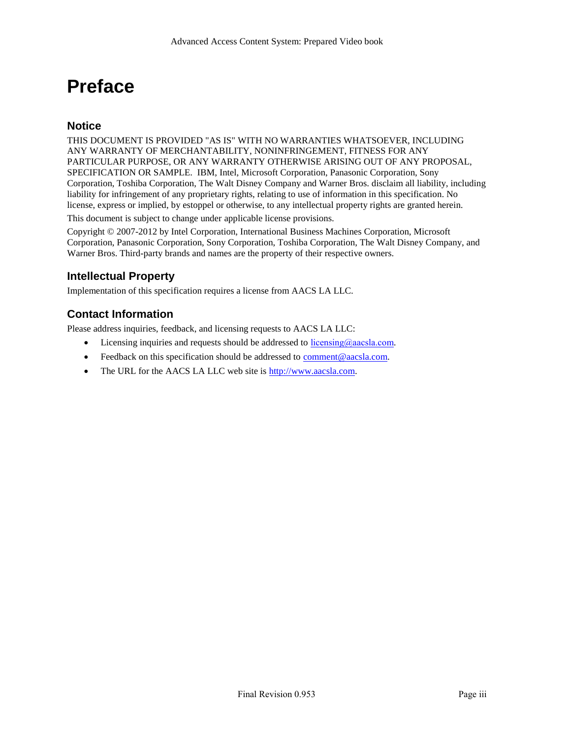# **Preface**

#### <span id="page-2-0"></span>**Notice**

THIS DOCUMENT IS PROVIDED "AS IS" WITH NO WARRANTIES WHATSOEVER, INCLUDING ANY WARRANTY OF MERCHANTABILITY, NONINFRINGEMENT, FITNESS FOR ANY PARTICULAR PURPOSE, OR ANY WARRANTY OTHERWISE ARISING OUT OF ANY PROPOSAL, SPECIFICATION OR SAMPLE. IBM, Intel, Microsoft Corporation, Panasonic Corporation, Sony Corporation, Toshiba Corporation, The Walt Disney Company and Warner Bros. disclaim all liability, including liability for infringement of any proprietary rights, relating to use of information in this specification. No license, express or implied, by estoppel or otherwise, to any intellectual property rights are granted herein.

This document is subject to change under applicable license provisions.

Copyright © 2007-2012 by Intel Corporation, International Business Machines Corporation, Microsoft Corporation, Panasonic Corporation, Sony Corporation, Toshiba Corporation, The Walt Disney Company, and Warner Bros. Third-party brands and names are the property of their respective owners.

#### <span id="page-2-1"></span>**Intellectual Property**

Implementation of this specification requires a license from AACS LA LLC.

#### <span id="page-2-2"></span>**Contact Information**

Please address inquiries, feedback, and licensing requests to AACS LA LLC:

- Licensing inquiries and requests should be addressed to  $\frac{ \text{licensing}(a)\text{aacs}a \cdot \text{com}}{a\text{aasc}a \cdot \text{com}}$ .
- Feedback on this specification should be addressed to [comment@aacsla.com.](mailto:comment@aacsla.com)
- The URL for the AACS LA LLC web site is [http://www.aacsla.com.](http://www.aacsla.com/)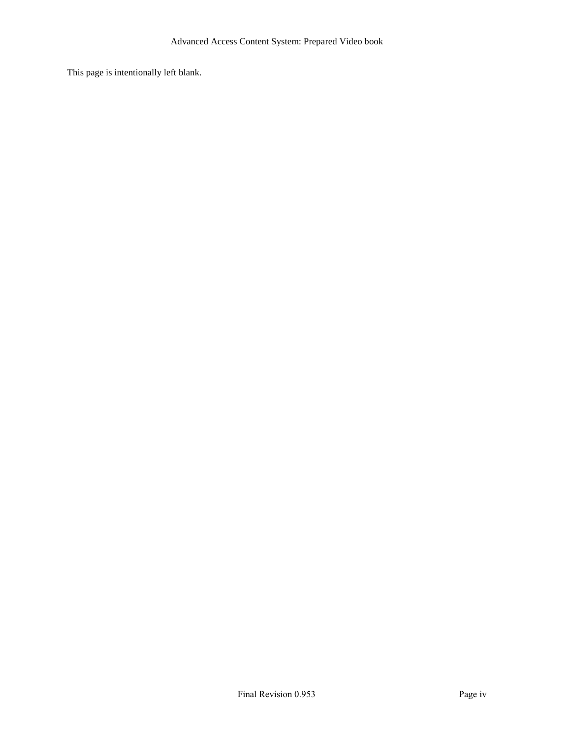This page is intentionally left blank.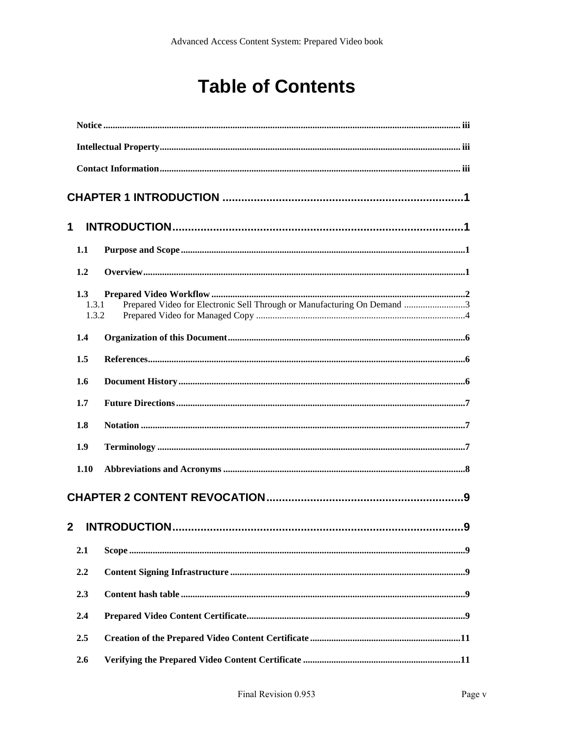# **Table of Contents**

| 1                     |                                                                         |
|-----------------------|-------------------------------------------------------------------------|
| 1.1                   |                                                                         |
| 1.2                   |                                                                         |
| 1.3<br>1.3.1<br>1.3.2 | Prepared Video for Electronic Sell Through or Manufacturing On Demand 3 |
| 1.4                   |                                                                         |
| 1.5                   |                                                                         |
| 1.6                   |                                                                         |
| 1.7                   |                                                                         |
| 1.8                   |                                                                         |
| 1.9                   |                                                                         |
| 1.10                  |                                                                         |
|                       |                                                                         |
| $\mathbf{2}$          |                                                                         |
| 2.1                   |                                                                         |
| 2.2                   |                                                                         |
| 2.3                   |                                                                         |
| 2.4                   |                                                                         |
| 2.5                   |                                                                         |
| 2.6                   |                                                                         |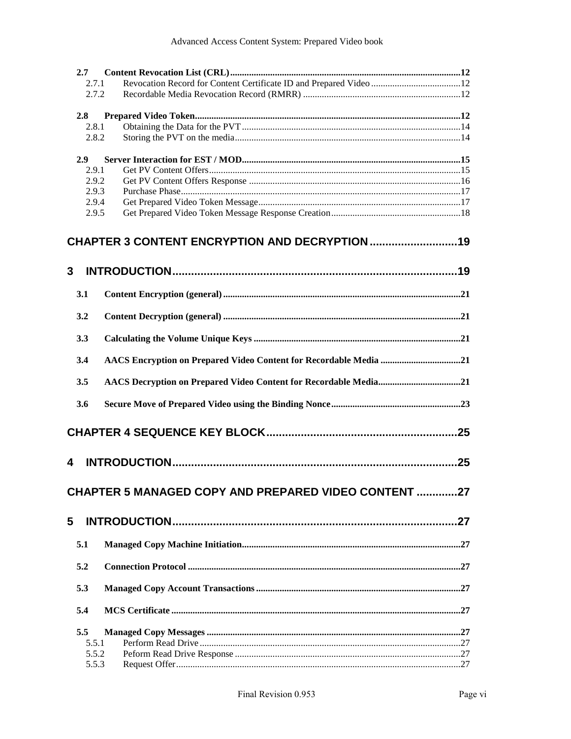| $2.7^{\circ}$  |                                                                   |  |
|----------------|-------------------------------------------------------------------|--|
| 2.7.1          |                                                                   |  |
| 2.7.2          |                                                                   |  |
|                |                                                                   |  |
| 2.8            |                                                                   |  |
| 2.8.1<br>2.8.2 |                                                                   |  |
|                |                                                                   |  |
| 2.9            |                                                                   |  |
| 2.9.1          |                                                                   |  |
| 2.9.2          |                                                                   |  |
| 2.9.3          |                                                                   |  |
| 2.9.4          |                                                                   |  |
| 2.9.5          |                                                                   |  |
|                |                                                                   |  |
|                | <b>CHAPTER 3 CONTENT ENCRYPTION AND DECRYPTION  19</b>            |  |
|                |                                                                   |  |
| 3              |                                                                   |  |
|                |                                                                   |  |
| 3.1            |                                                                   |  |
|                |                                                                   |  |
| 3.2            |                                                                   |  |
|                |                                                                   |  |
| 3.3            |                                                                   |  |
|                |                                                                   |  |
| 3.4            | AACS Encryption on Prepared Video Content for Recordable Media 21 |  |
|                |                                                                   |  |
| 3.5            |                                                                   |  |
| 3.6            |                                                                   |  |
|                |                                                                   |  |
|                |                                                                   |  |
|                |                                                                   |  |
|                |                                                                   |  |
| 4              |                                                                   |  |
|                |                                                                   |  |
|                | <b>CHAPTER 5 MANAGED COPY AND PREPARED VIDEO CONTENT 27</b>       |  |
|                |                                                                   |  |
|                |                                                                   |  |
| 5              |                                                                   |  |
|                |                                                                   |  |
| 5.1            |                                                                   |  |
|                |                                                                   |  |
| 5.2            |                                                                   |  |
|                |                                                                   |  |
| 5.3            |                                                                   |  |
| 5.4            |                                                                   |  |
|                |                                                                   |  |
| 5.5            |                                                                   |  |
| 5.5.1          |                                                                   |  |
| 5.5.2          |                                                                   |  |
| 5.5.3          |                                                                   |  |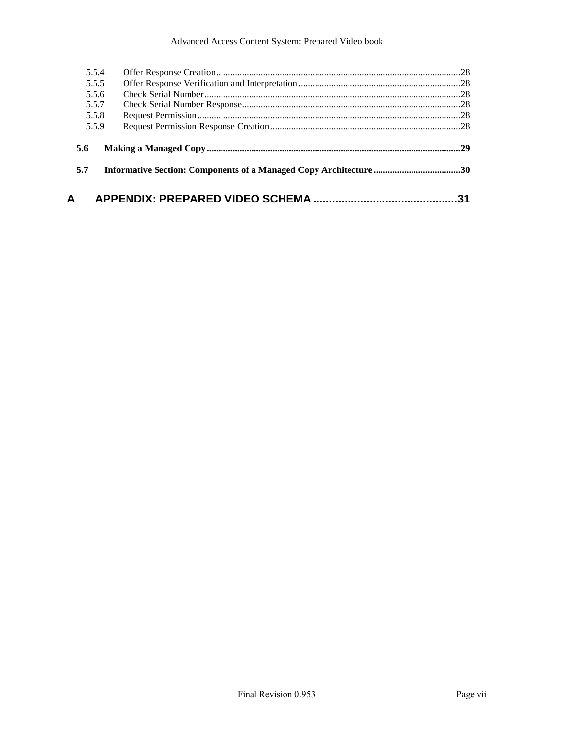#### Advanced Access Content System: Prepared Video book

|     | 5.5.4 |                                                                          |  |  |  |
|-----|-------|--------------------------------------------------------------------------|--|--|--|
|     | 5.5.5 |                                                                          |  |  |  |
|     | 5.5.6 |                                                                          |  |  |  |
|     | 5.5.7 |                                                                          |  |  |  |
|     | 5.5.8 |                                                                          |  |  |  |
|     | 5.5.9 |                                                                          |  |  |  |
| 5.6 |       |                                                                          |  |  |  |
| 5.7 |       | <b>Informative Section: Components of a Managed Copy Architecture 30</b> |  |  |  |
| Α   |       |                                                                          |  |  |  |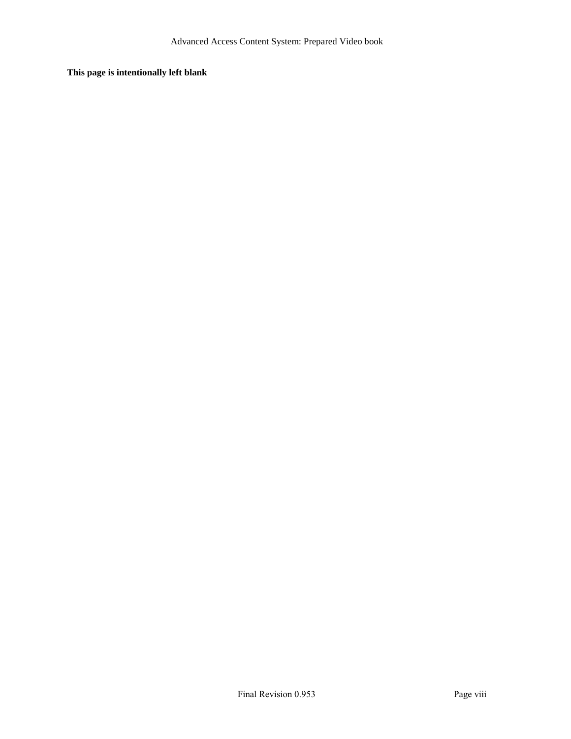**This page is intentionally left blank**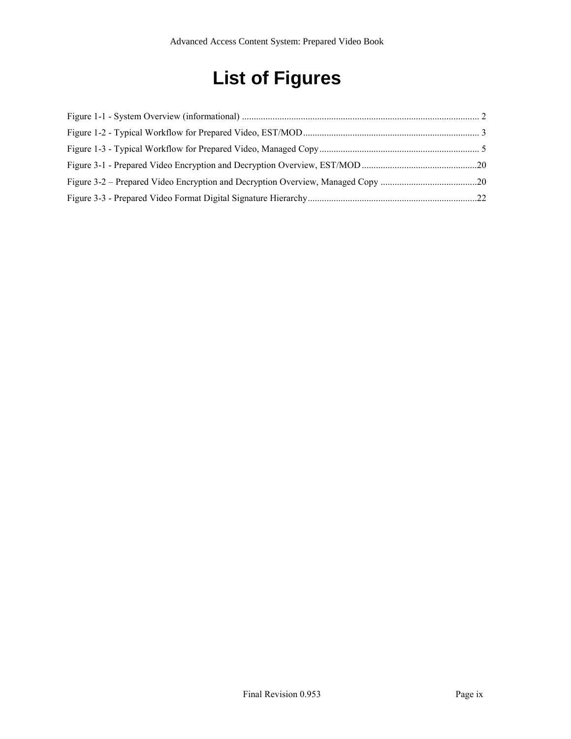# **List of Figures**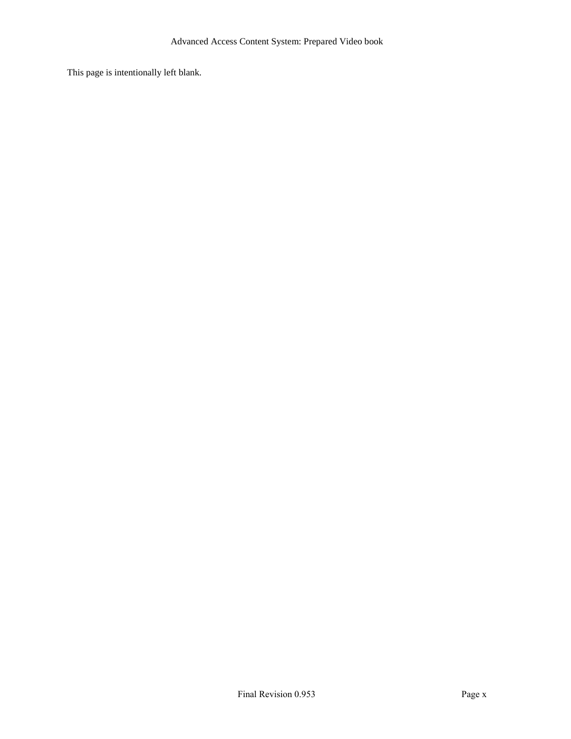This page is intentionally left blank.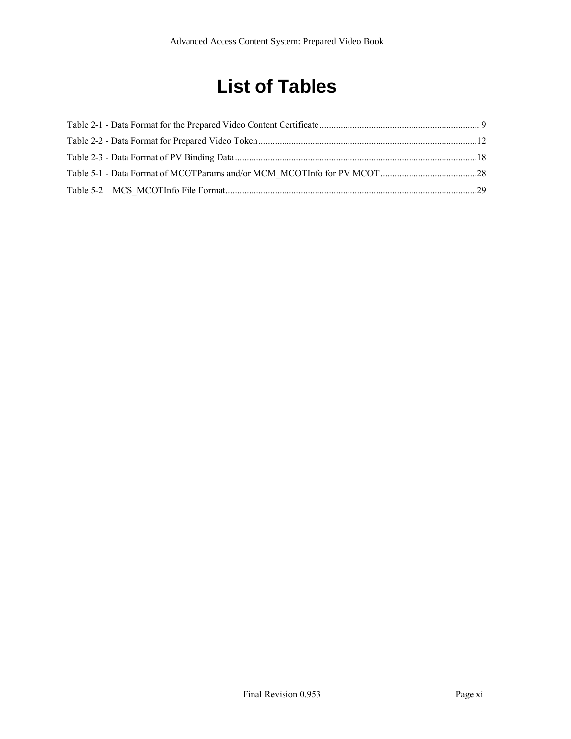# **List of Tables**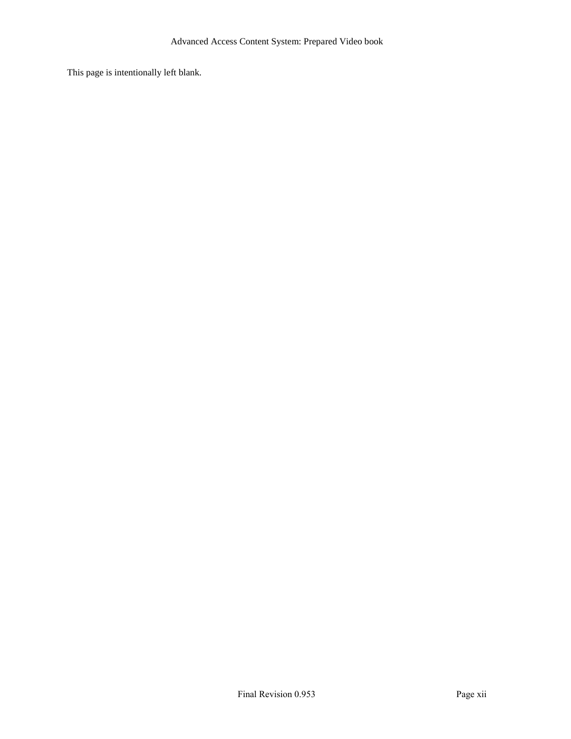This page is intentionally left blank.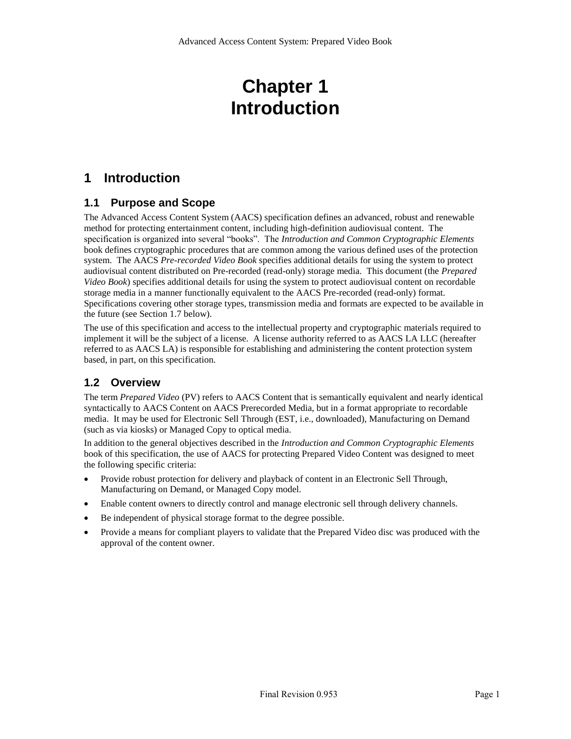# **Chapter 1 Introduction**

## <span id="page-12-1"></span><span id="page-12-0"></span>**1 Introduction**

### <span id="page-12-2"></span>**1.1 Purpose and Scope**

The Advanced Access Content System (AACS) specification defines an advanced, robust and renewable method for protecting entertainment content, including high-definition audiovisual content. The specification is organized into several "books". The *Introduction and Common Cryptographic Elements* book defines cryptographic procedures that are common among the various defined uses of the protection system. The AACS *Pre-recorded Video Book* specifies additional details for using the system to protect audiovisual content distributed on Pre-recorded (read-only) storage media. This document (the *Prepared Video Book*) specifies additional details for using the system to protect audiovisual content on recordable storage media in a manner functionally equivalent to the AACS Pre-recorded (read-only) format. Specifications covering other storage types, transmission media and formats are expected to be available in the future (see Section [1.7](#page-18-0) below).

The use of this specification and access to the intellectual property and cryptographic materials required to implement it will be the subject of a license. A license authority referred to as AACS LA LLC (hereafter referred to as AACS LA) is responsible for establishing and administering the content protection system based, in part, on this specification.

#### <span id="page-12-3"></span>**1.2 Overview**

The term *Prepared Video* (PV) refers to AACS Content that is semantically equivalent and nearly identical syntactically to AACS Content on AACS Prerecorded Media, but in a format appropriate to recordable media. It may be used for Electronic Sell Through (EST, i.e., downloaded), Manufacturing on Demand (such as via kiosks) or Managed Copy to optical media.

In addition to the general objectives described in the *Introduction and Common Cryptographic Elements*  book of this specification, the use of AACS for protecting Prepared Video Content was designed to meet the following specific criteria:

- Provide robust protection for delivery and playback of content in an Electronic Sell Through, Manufacturing on Demand, or Managed Copy model.
- Enable content owners to directly control and manage electronic sell through delivery channels.
- Be independent of physical storage format to the degree possible.
- Provide a means for compliant players to validate that the Prepared Video disc was produced with the approval of the content owner.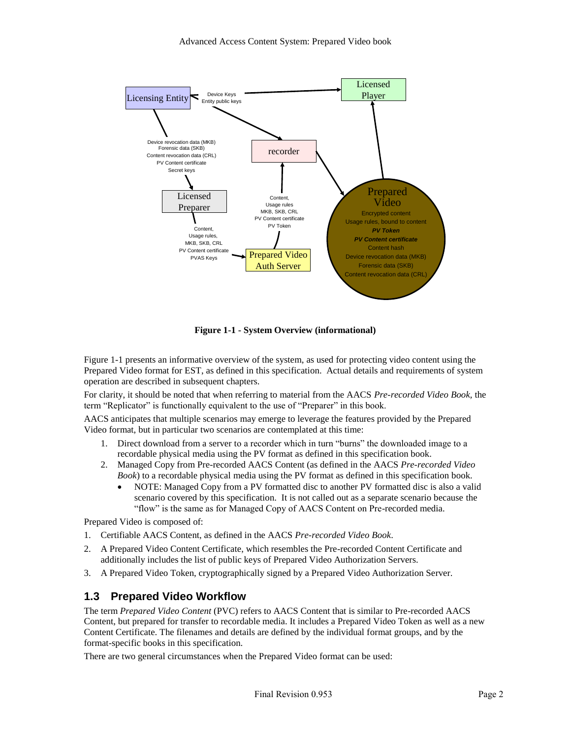

**Figure 1-1 - System Overview (informational)**

<span id="page-13-1"></span>[Figure 1-1](#page-13-1) presents an informative overview of the system, as used for protecting video content using the Prepared Video format for EST, as defined in this specification. Actual details and requirements of system operation are described in subsequent chapters.

For clarity, it should be noted that when referring to material from the AACS *Pre-recorded Video Book,* the term "Replicator" is functionally equivalent to the use of "Preparer" in this book.

AACS anticipates that multiple scenarios may emerge to leverage the features provided by the Prepared Video format, but in particular two scenarios are contemplated at this time:

- 1. Direct download from a server to a recorder which in turn "burns" the downloaded image to a recordable physical media using the PV format as defined in this specification book.
- 2. Managed Copy from Pre-recorded AACS Content (as defined in the AACS *Pre-recorded Video Book*) to a recordable physical media using the PV format as defined in this specification book.
	- NOTE: Managed Copy from a PV formatted disc to another PV formatted disc is also a valid scenario covered by this specification. It is not called out as a separate scenario because the "flow" is the same as for Managed Copy of AACS Content on Pre-recorded media.

Prepared Video is composed of:

- 1. Certifiable AACS Content, as defined in the AACS *Pre-recorded Video Book*.
- 2. A Prepared Video Content Certificate, which resembles the Pre-recorded Content Certificate and additionally includes the list of public keys of Prepared Video Authorization Servers.
- 3. A Prepared Video Token, cryptographically signed by a Prepared Video Authorization Server.

#### <span id="page-13-0"></span>**1.3 Prepared Video Workflow**

The term *Prepared Video Content* (PVC) refers to AACS Content that is similar to Pre-recorded AACS Content, but prepared for transfer to recordable media. It includes a Prepared Video Token as well as a new Content Certificate. The filenames and details are defined by the individual format groups, and by the format-specific books in this specification.

There are two general circumstances when the Prepared Video format can be used: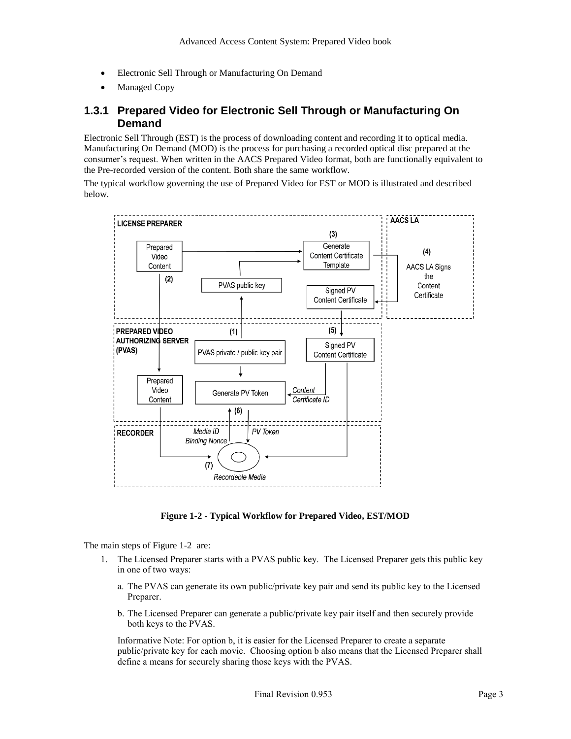- Electronic Sell Through or Manufacturing On Demand
- Managed Copy

#### <span id="page-14-0"></span>**1.3.1 Prepared Video for Electronic Sell Through or Manufacturing On Demand**

Electronic Sell Through (EST) is the process of downloading content and recording it to optical media. Manufacturing On Demand (MOD) is the process for purchasing a recorded optical disc prepared at the consumer's request. When written in the AACS Prepared Video format, both are functionally equivalent to the Pre-recorded version of the content. Both share the same workflow.

The typical workflow governing the use of Prepared Video for EST or MOD is illustrated and described below.



**Figure 1-2 - Typical Workflow for Prepared Video, EST/MOD** 

The main steps of Figure 1-2 are:

- 1. The Licensed Preparer starts with a PVAS public key. The Licensed Preparer gets this public key in one of two ways:
	- a. The PVAS can generate its own public/private key pair and send its public key to the Licensed Preparer.
	- b. The Licensed Preparer can generate a public/private key pair itself and then securely provide both keys to the PVAS.

Informative Note: For option b, it is easier for the Licensed Preparer to create a separate public/private key for each movie. Choosing option b also means that the Licensed Preparer shall define a means for securely sharing those keys with the PVAS.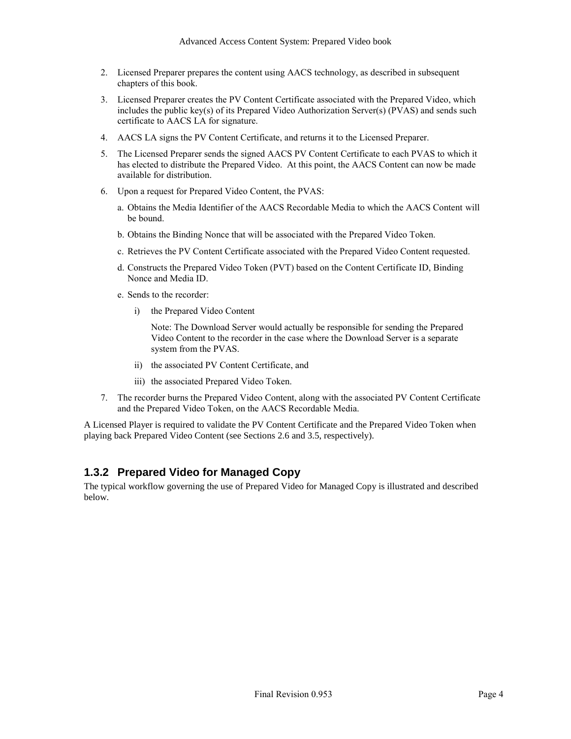- 2. Licensed Preparer prepares the content using AACS technology, as described in subsequent chapters of this book.
- 3. Licensed Preparer creates the PV Content Certificate associated with the Prepared Video, which includes the public key(s) of its Prepared Video Authorization Server(s) (PVAS) and sends such certificate to AACS LA for signature.
- 4. AACS LA signs the PV Content Certificate, and returns it to the Licensed Preparer.
- 5. The Licensed Preparer sends the signed AACS PV Content Certificate to each PVAS to which it has elected to distribute the Prepared Video. At this point, the AACS Content can now be made available for distribution.
- 6. Upon a request for Prepared Video Content, the PVAS:
	- a. Obtains the Media Identifier of the AACS Recordable Media to which the AACS Content will be bound.
	- b. Obtains the Binding Nonce that will be associated with the Prepared Video Token.
	- c. Retrieves the PV Content Certificate associated with the Prepared Video Content requested.
	- d. Constructs the Prepared Video Token (PVT) based on the Content Certificate ID, Binding Nonce and Media ID.
	- e. Sends to the recorder:
		- i) the Prepared Video Content

Note: The Download Server would actually be responsible for sending the Prepared Video Content to the recorder in the case where the Download Server is a separate system from the PVAS.

- ii) the associated PV Content Certificate, and
- iii) the associated Prepared Video Token.
- 7. The recorder burns the Prepared Video Content, along with the associated PV Content Certificate and the Prepared Video Token, on the AACS Recordable Media.

A Licensed Player is required to validate the PV Content Certificate and the Prepared Video Token when playing back Prepared Video Content (see Sections [2.6](#page-22-1) and [3.5,](#page-32-4) respectively).

#### <span id="page-15-0"></span>**1.3.2 Prepared Video for Managed Copy**

The typical workflow governing the use of Prepared Video for Managed Copy is illustrated and described below.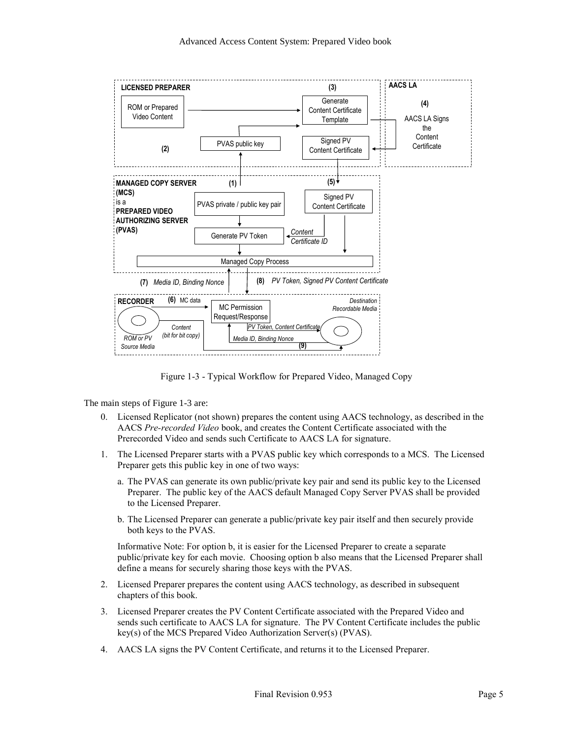

Figure 1-3 - Typical Workflow for Prepared Video, Managed Copy

The main steps of Figure 1-3 are:

- 0. Licensed Replicator (not shown) prepares the content using AACS technology, as described in the AACS *Pre-recorded Video* book, and creates the Content Certificate associated with the Prerecorded Video and sends such Certificate to AACS LA for signature.
- 1. The Licensed Preparer starts with a PVAS public key which corresponds to a MCS. The Licensed Preparer gets this public key in one of two ways:
	- a. The PVAS can generate its own public/private key pair and send its public key to the Licensed Preparer. The public key of the AACS default Managed Copy Server PVAS shall be provided to the Licensed Preparer.
	- b. The Licensed Preparer can generate a public/private key pair itself and then securely provide both keys to the PVAS.

Informative Note: For option b, it is easier for the Licensed Preparer to create a separate public/private key for each movie. Choosing option b also means that the Licensed Preparer shall define a means for securely sharing those keys with the PVAS.

- 2. Licensed Preparer prepares the content using AACS technology, as described in subsequent chapters of this book.
- 3. Licensed Preparer creates the PV Content Certificate associated with the Prepared Video and sends such certificate to AACS LA for signature. The PV Content Certificate includes the public key(s) of the MCS Prepared Video Authorization Server(s) (PVAS).
- 4. AACS LA signs the PV Content Certificate, and returns it to the Licensed Preparer.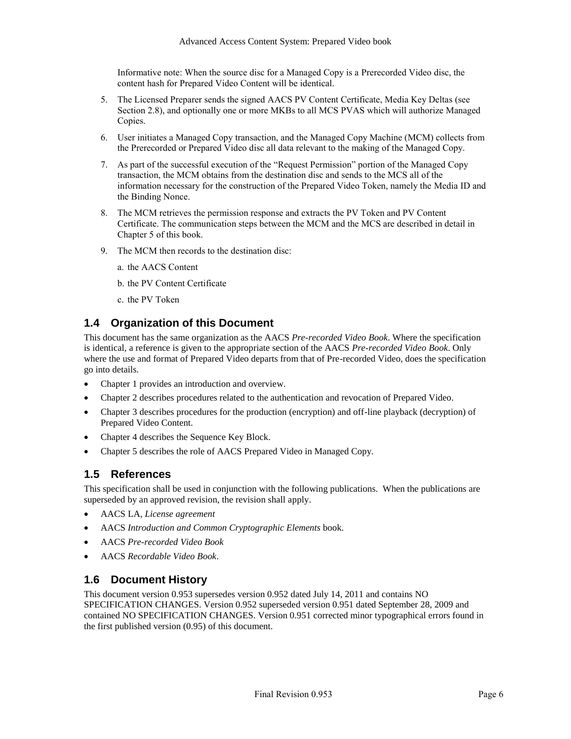Informative note: When the source disc for a Managed Copy is a Prerecorded Video disc, the content hash for Prepared Video Content will be identical.

- 5. The Licensed Preparer sends the signed AACS PV Content Certificate, Media Key Deltas (see Section [2.8\)](#page-23-3), and optionally one or more MKBs to all MCS PVAS which will authorize Managed Copies.
- 6. User initiates a Managed Copy transaction, and the Managed Copy Machine (MCM) collects from the Prerecorded or Prepared Video disc all data relevant to the making of the Managed Copy.
- 7. As part of the successful execution of the "Request Permission" portion of the Managed Copy transaction, the MCM obtains from the destination disc and sends to the MCS all of the information necessary for the construction of the Prepared Video Token, namely the Media ID and the Binding Nonce.
- 8. The MCM retrieves the permission response and extracts the PV Token and PV Content Certificate. The communication steps between the MCM and the MCS are described in detail in Chapter [5](#page-38-1) of this book.
- 9. The MCM then records to the destination disc:
	- a. the AACS Content
	- b. the PV Content Certificate
	- c. the PV Token

#### <span id="page-17-0"></span>**1.4 Organization of this Document**

This document has the same organization as the AACS *Pre-recorded Video Book*. Where the specification is identical, a reference is given to the appropriate section of the AACS *Pre-recorded Video Book*. Only where the use and format of Prepared Video departs from that of Pre-recorded Video, does the specification go into details.

- Chapter 1 provides an introduction and overview.
- Chapter 2 describes procedures related to the authentication and revocation of Prepared Video.
- Chapter 3 describes procedures for the production (encryption) and off-line playback (decryption) of Prepared Video Content.
- Chapter 4 describes the Sequence Key Block.
- Chapter 5 describes the role of AACS Prepared Video in Managed Copy.

#### <span id="page-17-1"></span>**1.5 References**

This specification shall be used in conjunction with the following publications. When the publications are superseded by an approved revision, the revision shall apply.

- AACS LA, *License agreement*
- AACS *Introduction and Common Cryptographic Elements* book.
- AACS *Pre-recorded Video Book*
- AACS *Recordable Video Book*.

#### <span id="page-17-2"></span>**1.6 Document History**

This document version 0.953 supersedes version 0.952 dated July 14, 2011 and contains NO SPECIFICATION CHANGES. Version 0.952 superseded version 0.951 dated September 28, 2009 and contained NO SPECIFICATION CHANGES. Version 0.951 corrected minor typographical errors found in the first published version (0.95) of this document.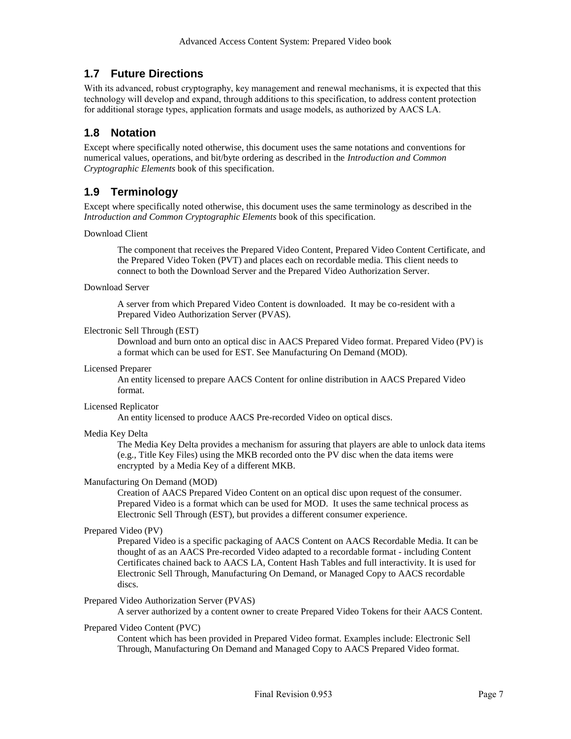#### <span id="page-18-0"></span>**1.7 Future Directions**

With its advanced, robust cryptography, key management and renewal mechanisms, it is expected that this technology will develop and expand, through additions to this specification, to address content protection for additional storage types, application formats and usage models, as authorized by AACS LA.

### <span id="page-18-1"></span>**1.8 Notation**

Except where specifically noted otherwise, this document uses the same notations and conventions for numerical values, operations, and bit/byte ordering as described in the *Introduction and Common Cryptographic Elements* book of this specification.

### <span id="page-18-2"></span>**1.9 Terminology**

Except where specifically noted otherwise, this document uses the same terminology as described in the *Introduction and Common Cryptographic Elements* book of this specification.

Download Client

The component that receives the Prepared Video Content, Prepared Video Content Certificate, and the Prepared Video Token (PVT) and places each on recordable media. This client needs to connect to both the Download Server and the Prepared Video Authorization Server.

#### Download Server

A server from which Prepared Video Content is downloaded. It may be co-resident with a Prepared Video Authorization Server (PVAS).

#### Electronic Sell Through (EST)

Download and burn onto an optical disc in AACS Prepared Video format. Prepared Video (PV) is a format which can be used for EST. See Manufacturing On Demand (MOD).

Licensed Preparer

An entity licensed to prepare AACS Content for online distribution in AACS Prepared Video format.

#### Licensed Replicator

An entity licensed to produce AACS Pre-recorded Video on optical discs.

#### Media Key Delta

The Media Key Delta provides a mechanism for assuring that players are able to unlock data items (e.g., Title Key Files) using the MKB recorded onto the PV disc when the data items were encrypted by a Media Key of a different MKB.

#### Manufacturing On Demand (MOD)

Creation of AACS Prepared Video Content on an optical disc upon request of the consumer. Prepared Video is a format which can be used for MOD. It uses the same technical process as Electronic Sell Through (EST), but provides a different consumer experience.

#### Prepared Video (PV)

Prepared Video is a specific packaging of AACS Content on AACS Recordable Media. It can be thought of as an AACS Pre-recorded Video adapted to a recordable format - including Content Certificates chained back to AACS LA, Content Hash Tables and full interactivity. It is used for Electronic Sell Through, Manufacturing On Demand, or Managed Copy to AACS recordable discs.

#### Prepared Video Authorization Server (PVAS)

A server authorized by a content owner to create Prepared Video Tokens for their AACS Content.

#### Prepared Video Content (PVC)

Content which has been provided in Prepared Video format. Examples include: Electronic Sell Through, Manufacturing On Demand and Managed Copy to AACS Prepared Video format.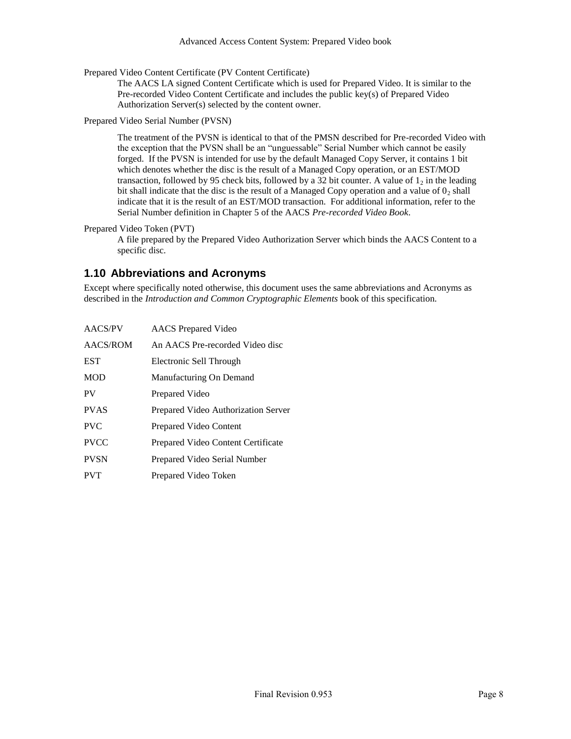Prepared Video Content Certificate (PV Content Certificate)

The AACS LA signed Content Certificate which is used for Prepared Video. It is similar to the Pre-recorded Video Content Certificate and includes the public key(s) of Prepared Video Authorization Server(s) selected by the content owner.

Prepared Video Serial Number (PVSN)

The treatment of the PVSN is identical to that of the PMSN described for Pre-recorded Video with the exception that the PVSN shall be an "unguessable" Serial Number which cannot be easily forged. If the PVSN is intended for use by the default Managed Copy Server, it contains 1 bit which denotes whether the disc is the result of a Managed Copy operation, or an EST/MOD transaction, followed by 95 check bits, followed by a 32 bit counter. A value of  $1<sub>2</sub>$  in the leading bit shall indicate that the disc is the result of a Managed Copy operation and a value of  $0<sub>2</sub>$  shall indicate that it is the result of an EST/MOD transaction. For additional information, refer to the Serial Number definition in Chapter 5 of the AACS *Pre-recorded Video Book*.

Prepared Video Token (PVT)

A file prepared by the Prepared Video Authorization Server which binds the AACS Content to a specific disc.

#### <span id="page-19-0"></span>**1.10 Abbreviations and Acronyms**

Except where specifically noted otherwise, this document uses the same abbreviations and Acronyms as described in the *Introduction and Common Cryptographic Elements* book of this specification.

| <b>AACS/PV</b> | <b>AACS</b> Prepared Video          |
|----------------|-------------------------------------|
| AACS/ROM       | An AACS Pre-recorded Video disc     |
| <b>EST</b>     | Electronic Sell Through             |
| <b>MOD</b>     | Manufacturing On Demand             |
| <b>PV</b>      | Prepared Video                      |
| <b>PVAS</b>    | Prepared Video Authorization Server |
| <b>PVC</b>     | <b>Prepared Video Content</b>       |
| <b>PVCC</b>    | Prepared Video Content Certificate  |
| <b>PVSN</b>    | Prepared Video Serial Number        |
| <b>PVT</b>     | Prepared Video Token                |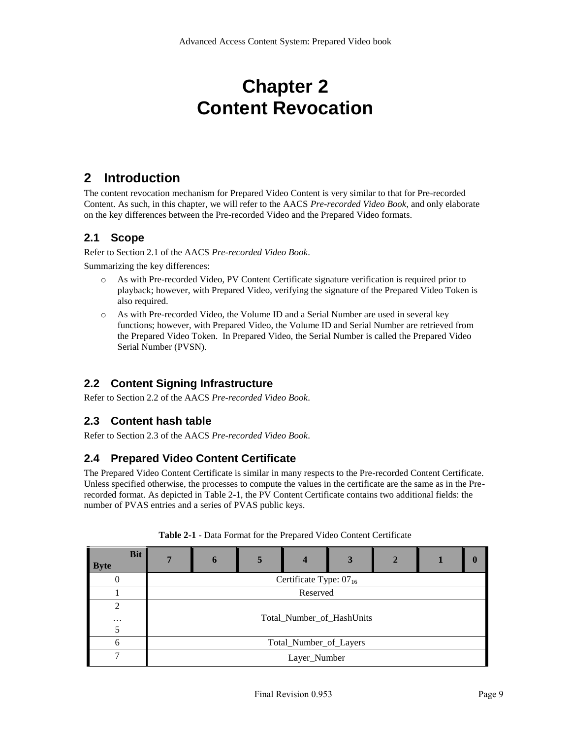## **Chapter 2 Content Revocation**

### <span id="page-20-1"></span><span id="page-20-0"></span>**2 Introduction**

The content revocation mechanism for Prepared Video Content is very similar to that for Pre-recorded Content. As such, in this chapter, we will refer to the AACS *Pre-recorded Video Book*, and only elaborate on the key differences between the Pre-recorded Video and the Prepared Video formats.

#### <span id="page-20-2"></span>**2.1 Scope**

Refer to Section 2.1 of the AACS *Pre-recorded Video Book*.

Summarizing the key differences:

- o As with Pre-recorded Video, PV Content Certificate signature verification is required prior to playback; however, with Prepared Video, verifying the signature of the Prepared Video Token is also required.
- o As with Pre-recorded Video, the Volume ID and a Serial Number are used in several key functions; however, with Prepared Video, the Volume ID and Serial Number are retrieved from the Prepared Video Token. In Prepared Video, the Serial Number is called the Prepared Video Serial Number (PVSN).

#### <span id="page-20-3"></span>**2.2 Content Signing Infrastructure**

Refer to Section 2.2 of the AACS *Pre-recorded Video Book*.

#### <span id="page-20-4"></span>**2.3 Content hash table**

Refer to Section 2.3 of the AACS *Pre-recorded Video Book*.

#### <span id="page-20-5"></span>**2.4 Prepared Video Content Certificate**

The Prepared Video Content Certificate is similar in many respects to the Pre-recorded Content Certificate. Unless specified otherwise, the processes to compute the values in the certificate are the same as in the Prerecorded format. As depicted in [Table 2-1,](#page-20-6) the PV Content Certificate contains two additional fields: the number of PVAS entries and a series of PVAS public keys.

<span id="page-20-6"></span>

| <b>Bit</b><br><b>Byte</b> | 5 | 6                                  | 5 | 4 |  | $\mathbf{2}$ |  |  |  |
|---------------------------|---|------------------------------------|---|---|--|--------------|--|--|--|
|                           |   | Certificate Type: 07 <sub>16</sub> |   |   |  |              |  |  |  |
|                           |   | Reserved                           |   |   |  |              |  |  |  |
|                           |   |                                    |   |   |  |              |  |  |  |
| $\cdots$                  |   | Total_Number_of_HashUnits          |   |   |  |              |  |  |  |
|                           |   |                                    |   |   |  |              |  |  |  |
|                           |   | Total_Number_of_Layers             |   |   |  |              |  |  |  |
|                           |   | Layer_Number                       |   |   |  |              |  |  |  |

**Table 2-1** - Data Format for the Prepared Video Content Certificate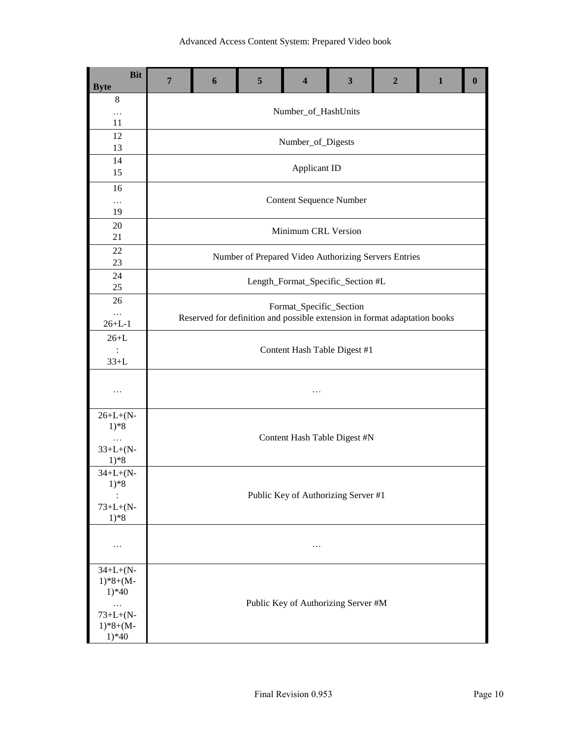| <b>Bit</b><br><b>Byte</b>                                                              | 7                                   | 6                                   | 5                                                                         | $\overline{\mathbf{4}}$           | $\mathbf{3}$ | $\overline{2}$ | $\mathbf{1}$ | $\bf{0}$ |  |
|----------------------------------------------------------------------------------------|-------------------------------------|-------------------------------------|---------------------------------------------------------------------------|-----------------------------------|--------------|----------------|--------------|----------|--|
| $8\,$<br>.                                                                             |                                     | Number_of_HashUnits                 |                                                                           |                                   |              |                |              |          |  |
| 11<br>12                                                                               |                                     |                                     |                                                                           | Number_of_Digests                 |              |                |              |          |  |
| 13<br>14<br>15                                                                         |                                     |                                     |                                                                           | Applicant ID                      |              |                |              |          |  |
| 16                                                                                     |                                     |                                     |                                                                           | <b>Content Sequence Number</b>    |              |                |              |          |  |
| $\cdots$<br>19                                                                         |                                     |                                     |                                                                           |                                   |              |                |              |          |  |
| 20<br>21                                                                               |                                     |                                     |                                                                           | Minimum CRL Version               |              |                |              |          |  |
| 22<br>23                                                                               |                                     |                                     | Number of Prepared Video Authorizing Servers Entries                      |                                   |              |                |              |          |  |
| 24<br>25                                                                               |                                     |                                     |                                                                           | Length_Format_Specific_Section #L |              |                |              |          |  |
| 26<br>$\cdots$<br>$26 + L - 1$                                                         |                                     |                                     | Reserved for definition and possible extension in format adaptation books |                                   |              |                |              |          |  |
| $26+L$<br>$33+L$                                                                       |                                     |                                     |                                                                           | Content Hash Table Digest #1      |              |                |              |          |  |
| .                                                                                      |                                     |                                     |                                                                           | .                                 |              |                |              |          |  |
| $26+L+(N-$<br>$1)*8$<br>$33+L+(N-$<br>$1)*8$                                           | Content Hash Table Digest #N        |                                     |                                                                           |                                   |              |                |              |          |  |
| $34+L+(N-$<br>$1)*8$<br>$73+L+(N-$<br>$1)*8$                                           | Public Key of Authorizing Server #1 |                                     |                                                                           |                                   |              |                |              |          |  |
| $\cdots$                                                                               | .                                   |                                     |                                                                           |                                   |              |                |              |          |  |
| $34+L+(N-$<br>$1)*8+(M-$<br>$1)*40$<br>$\cdots$<br>$73+L+(N-$<br>$1)*8+(M-$<br>$1)*40$ |                                     | Public Key of Authorizing Server #M |                                                                           |                                   |              |                |              |          |  |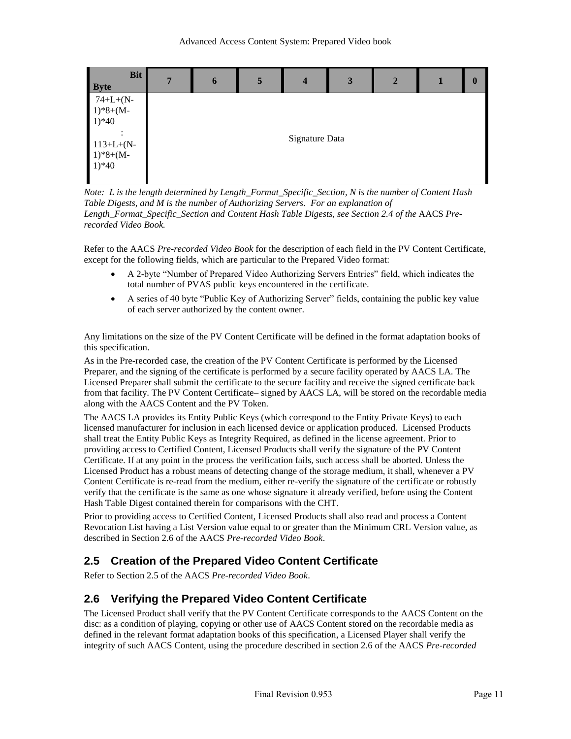| <b>Bit</b><br><b>Byte</b>                                                         | 7 | 6 | 5 | $\overline{\mathbf{4}}$ | 3 | $\overline{2}$ | $\mathbf{1}$ | $\boldsymbol{0}$ |
|-----------------------------------------------------------------------------------|---|---|---|-------------------------|---|----------------|--------------|------------------|
| $74+L+(N-$<br>$1)*8+(M-$<br>$(1)*40$<br>٠<br>$113+L+(N-$<br>$1)*8+(M-$<br>$1)*40$ |   |   |   | Signature Data          |   |                |              |                  |

*Note: L is the length determined by Length\_Format\_Specific\_Section, N is the number of Content Hash Table Digests, and M is the number of Authorizing Servers. For an explanation of Length\_Format\_Specific\_Section and Content Hash Table Digests, see Section 2.4 of the* AACS *Prerecorded Video Book.*

Refer to the AACS *Pre-recorded Video Book* for the description of each field in the PV Content Certificate, except for the following fields, which are particular to the Prepared Video format:

- A 2-byte "Number of Prepared Video Authorizing Servers Entries" field, which indicates the total number of PVAS public keys encountered in the certificate.
- A series of 40 byte "Public Key of Authorizing Server" fields, containing the public key value of each server authorized by the content owner.

Any limitations on the size of the PV Content Certificate will be defined in the format adaptation books of this specification.

As in the Pre-recorded case, the creation of the PV Content Certificate is performed by the Licensed Preparer, and the signing of the certificate is performed by a secure facility operated by AACS LA. The Licensed Preparer shall submit the certificate to the secure facility and receive the signed certificate back from that facility. The PV Content Certificate– signed by AACS LA, will be stored on the recordable media along with the AACS Content and the PV Token.

The AACS LA provides its Entity Public Keys (which correspond to the Entity Private Keys) to each licensed manufacturer for inclusion in each licensed device or application produced. Licensed Products shall treat the Entity Public Keys as Integrity Required, as defined in the license agreement. Prior to providing access to Certified Content, Licensed Products shall verify the signature of the PV Content Certificate. If at any point in the process the verification fails, such access shall be aborted. Unless the Licensed Product has a robust means of detecting change of the storage medium, it shall, whenever a PV Content Certificate is re-read from the medium, either re-verify the signature of the certificate or robustly verify that the certificate is the same as one whose signature it already verified, before using the Content Hash Table Digest contained therein for comparisons with the CHT.

Prior to providing access to Certified Content, Licensed Products shall also read and process a Content Revocation List having a List Version value equal to or greater than the Minimum CRL Version value, as described in Section 2.6 of the AACS *Pre-recorded Video Book*.

### <span id="page-22-0"></span>**2.5 Creation of the Prepared Video Content Certificate**

Refer to Section 2.5 of the AACS *Pre-recorded Video Book*.

#### <span id="page-22-1"></span>**2.6 Verifying the Prepared Video Content Certificate**

The Licensed Product shall verify that the PV Content Certificate corresponds to the AACS Content on the disc: as a condition of playing, copying or other use of AACS Content stored on the recordable media as defined in the relevant format adaptation books of this specification, a Licensed Player shall verify the integrity of such AACS Content, using the procedure described in section 2.6 of the AACS *Pre-recorded*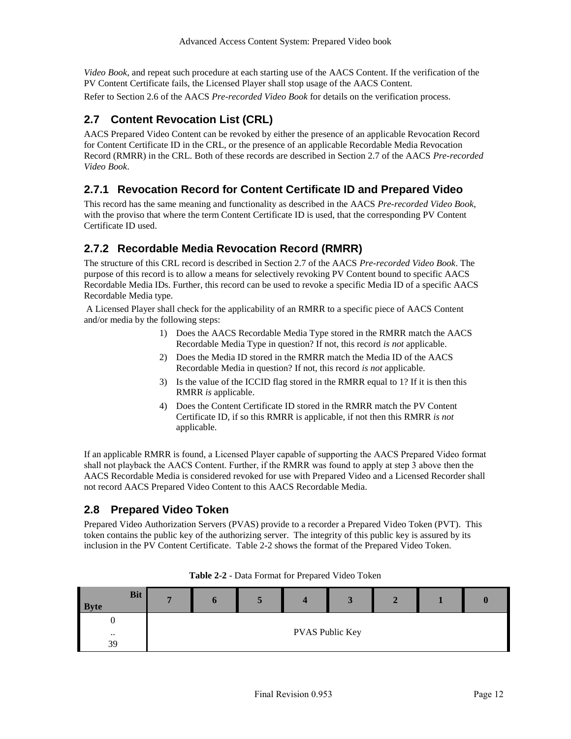*Video Book*, and repeat such procedure at each starting use of the AACS Content. If the verification of the PV Content Certificate fails, the Licensed Player shall stop usage of the AACS Content.

Refer to Section 2.6 of the AACS *Pre-recorded Video Book* for details on the verification process.

### <span id="page-23-0"></span>**2.7 Content Revocation List (CRL)**

AACS Prepared Video Content can be revoked by either the presence of an applicable Revocation Record for Content Certificate ID in the CRL, or the presence of an applicable Recordable Media Revocation Record (RMRR) in the CRL. Both of these records are described in Section 2.7 of the AACS *Pre-recorded Video Book*.

### <span id="page-23-1"></span>**2.7.1 Revocation Record for Content Certificate ID and Prepared Video**

This record has the same meaning and functionality as described in the AACS *Pre-recorded Video Book*, with the proviso that where the term Content Certificate ID is used, that the corresponding PV Content Certificate ID used.

#### <span id="page-23-2"></span>**2.7.2 Recordable Media Revocation Record (RMRR)**

The structure of this CRL record is described in Section 2.7 of the AACS *Pre-recorded Video Book*. The purpose of this record is to allow a means for selectively revoking PV Content bound to specific AACS Recordable Media IDs. Further, this record can be used to revoke a specific Media ID of a specific AACS Recordable Media type.

A Licensed Player shall check for the applicability of an RMRR to a specific piece of AACS Content and/or media by the following steps:

- 1) Does the AACS Recordable Media Type stored in the RMRR match the AACS Recordable Media Type in question? If not, this record *is not* applicable.
- 2) Does the Media ID stored in the RMRR match the Media ID of the AACS Recordable Media in question? If not, this record *is not* applicable.
- 3) Is the value of the ICCID flag stored in the RMRR equal to 1? If it is then this RMRR *is* applicable.
- 4) Does the Content Certificate ID stored in the RMRR match the PV Content Certificate ID, if so this RMRR i*s* applicable, if not then this RMRR *is not* applicable.

If an applicable RMRR is found, a Licensed Player capable of supporting the AACS Prepared Video format shall not playback the AACS Content. Further, if the RMRR was found to apply at step 3 above then the AACS Recordable Media is considered revoked for use with Prepared Video and a Licensed Recorder shall not record AACS Prepared Video Content to this AACS Recordable Media.

#### <span id="page-23-3"></span>**2.8 Prepared Video Token**

Prepared Video Authorization Servers (PVAS) provide to a recorder a Prepared Video Token (PVT). This token contains the public key of the authorizing server. The integrity of this public key is assured by its inclusion in the PV Content Certificate. [Table 2-2](#page-23-4) shows the format of the Prepared Video Token.

<span id="page-23-4"></span>

| <b>Bit</b><br><b>Byte</b> |                 |  |  |  |  |  |  |  |
|---------------------------|-----------------|--|--|--|--|--|--|--|
|                           |                 |  |  |  |  |  |  |  |
| $\cdot \cdot$             | PVAS Public Key |  |  |  |  |  |  |  |
| 39                        |                 |  |  |  |  |  |  |  |

**Table 2-2** - Data Format for Prepared Video Token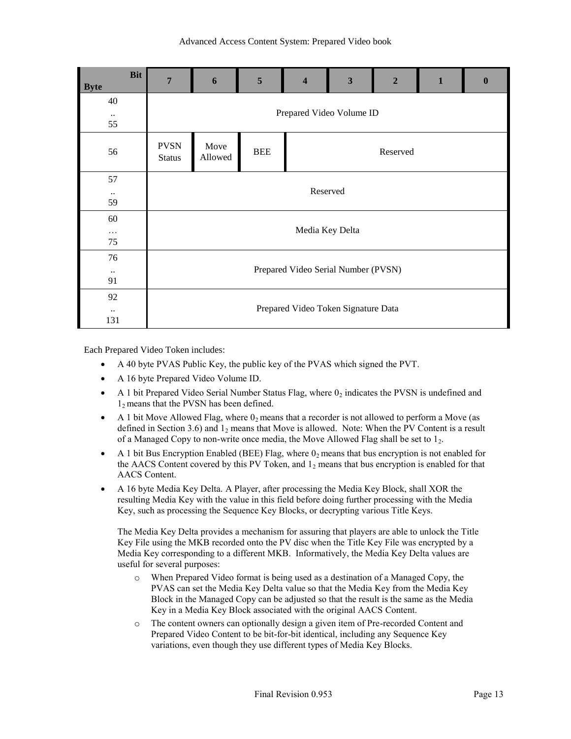| <b>Byte</b>            | <b>Bit</b> | 7                            | 6                                         | $\overline{5}$ | $\overline{\mathbf{4}}$ | 3                                   | $\overline{2}$ | $\mathbf{1}$ | $\bf{0}$ |
|------------------------|------------|------------------------------|-------------------------------------------|----------------|-------------------------|-------------------------------------|----------------|--------------|----------|
| 40                     |            |                              |                                           |                |                         |                                     |                |              |          |
| $\ldots$<br>55         |            |                              |                                           |                |                         | Prepared Video Volume ID            |                |              |          |
| 56                     |            | <b>PVSN</b><br><b>Status</b> | Move<br><b>BEE</b><br>Reserved<br>Allowed |                |                         |                                     |                |              |          |
| 57                     |            |                              |                                           |                |                         |                                     |                |              |          |
| $\ddotsc$<br>59        |            |                              | Reserved                                  |                |                         |                                     |                |              |          |
| 60                     |            |                              |                                           |                |                         |                                     |                |              |          |
| $\cdots$<br>75         |            |                              | Media Key Delta                           |                |                         |                                     |                |              |          |
| 76                     |            |                              |                                           |                |                         |                                     |                |              |          |
| $\ddotsc$<br>91        |            |                              |                                           |                |                         | Prepared Video Serial Number (PVSN) |                |              |          |
| 92<br>$\ddotsc$<br>131 |            |                              | Prepared Video Token Signature Data       |                |                         |                                     |                |              |          |

Each Prepared Video Token includes:

- A 40 byte PVAS Public Key, the public key of the PVAS which signed the PVT.
- A 16 byte Prepared Video Volume ID.
- $\bullet$  A 1 bit Prepared Video Serial Number Status Flag, where  $0_2$  indicates the PVSN is undefined and 12 means that the PVSN has been defined.
- $\bullet$  A 1 bit Move Allowed Flag, where  $0_2$  means that a recorder is not allowed to perform a Move (as defined in Section [3.6\)](#page-34-0) and  $1_2$  means that Move is allowed. Note: When the PV Content is a result of a Managed Copy to non-write once media, the Move Allowed Flag shall be set to 12.
- A 1 bit Bus Encryption Enabled (BEE) Flag, where  $0<sub>2</sub>$  means that bus encryption is not enabled for the AACS Content covered by this PV Token, and  $1<sub>2</sub>$  means that bus encryption is enabled for that AACS Content.
- A 16 byte Media Key Delta. A Player, after processing the Media Key Block, shall XOR the resulting Media Key with the value in this field before doing further processing with the Media Key, such as processing the Sequence Key Blocks, or decrypting various Title Keys.

The Media Key Delta provides a mechanism for assuring that players are able to unlock the Title Key File using the MKB recorded onto the PV disc when the Title Key File was encrypted by a Media Key corresponding to a different MKB. Informatively, the Media Key Delta values are useful for several purposes:

- o When Prepared Video format is being used as a destination of a Managed Copy, the PVAS can set the Media Key Delta value so that the Media Key from the Media Key Block in the Managed Copy can be adjusted so that the result is the same as the Media Key in a Media Key Block associated with the original AACS Content.
- o The content owners can optionally design a given item of Pre-recorded Content and Prepared Video Content to be bit-for-bit identical, including any Sequence Key variations, even though they use different types of Media Key Blocks.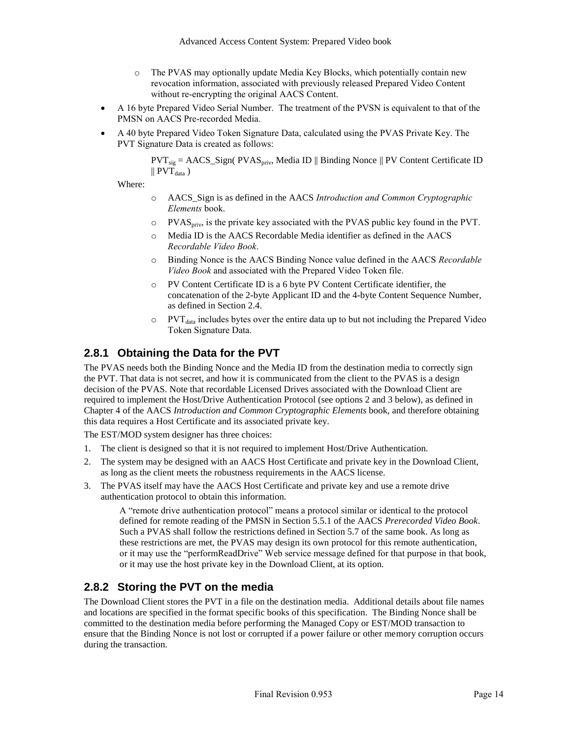- o The PVAS may optionally update Media Key Blocks, which potentially contain new revocation information, associated with previously released Prepared Video Content without re-encrypting the original AACS Content.
- A 16 byte Prepared Video Serial Number. The treatment of the PVSN is equivalent to that of the PMSN on AACS Pre-recorded Media.
- A 40 byte Prepared Video Token Signature Data, calculated using the PVAS Private Key. The PVT Signature Data is created as follows:

 $PVT_{sig} = AGCS_Sign(PVAS_{priv}, Media ID || Binding None || PV Content Certificate ID)$  $\parallel$  PVT<sub>data</sub>)

Where:

- o AACS\_Sign is as defined in the AACS *Introduction and Common Cryptographic Elements* book.
- $\circ$  PVAS<sub>priv</sub>, is the private key associated with the PVAS public key found in the PVT.
- o Media ID is the AACS Recordable Media identifier as defined in the AACS *Recordable Video Book*.
- o Binding Nonce is the AACS Binding Nonce value defined in the AACS *Recordable Video Book* and associated with the Prepared Video Token file.
- o PV Content Certificate ID is a 6 byte PV Content Certificate identifier, the concatenation of the 2-byte Applicant ID and the 4-byte Content Sequence Number, as defined in Section [2.4.](#page-20-5)
- $PVT<sub>data</sub>$  includes bytes over the entire data up to but not including the Prepared Video Token Signature Data.

#### <span id="page-25-0"></span>**2.8.1 Obtaining the Data for the PVT**

The PVAS needs both the Binding Nonce and the Media ID from the destination media to correctly sign the PVT. That data is not secret, and how it is communicated from the client to the PVAS is a design decision of the PVAS. Note that recordable Licensed Drives associated with the Download Client are required to implement the Host/Drive Authentication Protocol (see options 2 and 3 below), as defined in Chapter 4 of the AACS *Introduction and Common Cryptographic Elements* book*,* and therefore obtaining this data requires a Host Certificate and its associated private key.

The EST/MOD system designer has three choices:

- 1. The client is designed so that it is not required to implement Host/Drive Authentication.
- 2. The system may be designed with an AACS Host Certificate and private key in the Download Client, as long as the client meets the robustness requirements in the AACS license.
- 3. The PVAS itself may have the AACS Host Certificate and private key and use a remote drive authentication protocol to obtain this information.

A "remote drive authentication protocol" means a protocol similar or identical to the protocol defined for remote reading of the PMSN in Section 5.5.1 of the AACS *Prerecorded Video Book*. Such a PVAS shall follow the restrictions defined in Section 5.7 of the same book. As long as these restrictions are met, the PVAS may design its own protocol for this remote authentication, or it may use the "performReadDrive" Web service message defined for that purpose in that book, or it may use the host private key in the Download Client, at its option.

#### <span id="page-25-1"></span>**2.8.2 Storing the PVT on the media**

The Download Client stores the PVT in a file on the destination media. Additional details about file names and locations are specified in the format specific books of this specification. The Binding Nonce shall be committed to the destination media before performing the Managed Copy or EST/MOD transaction to ensure that the Binding Nonce is not lost or corrupted if a power failure or other memory corruption occurs during the transaction.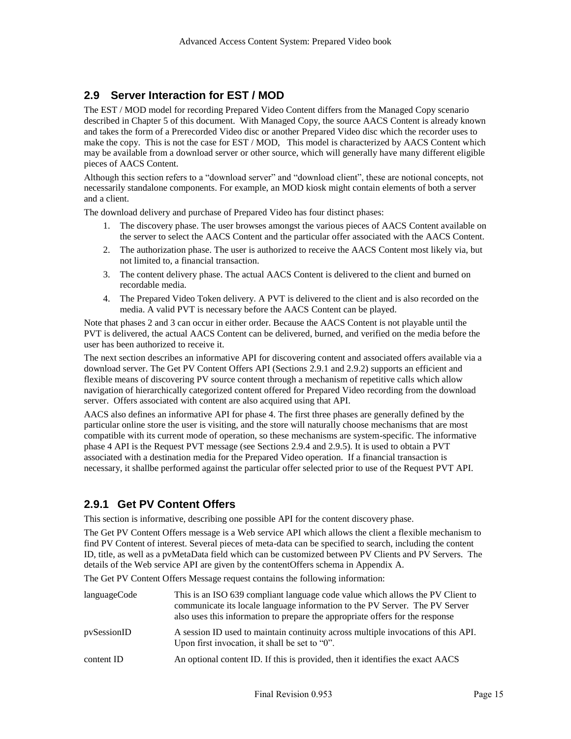#### <span id="page-26-0"></span>**2.9 Server Interaction for EST / MOD**

The EST / MOD model for recording Prepared Video Content differs from the Managed Copy scenario described in Chapter [5](#page-38-1) of this document. With Managed Copy, the source AACS Content is already known and takes the form of a Prerecorded Video disc or another Prepared Video disc which the recorder uses to make the copy. This is not the case for EST / MOD, This model is characterized by AACS Content which may be available from a download server or other source, which will generally have many different eligible pieces of AACS Content.

Although this section refers to a "download server" and "download client", these are notional concepts, not necessarily standalone components. For example, an MOD kiosk might contain elements of both a server and a client.

The download delivery and purchase of Prepared Video has four distinct phases:

- 1. The discovery phase. The user browses amongst the various pieces of AACS Content available on the server to select the AACS Content and the particular offer associated with the AACS Content.
- 2. The authorization phase. The user is authorized to receive the AACS Content most likely via, but not limited to, a financial transaction.
- 3. The content delivery phase. The actual AACS Content is delivered to the client and burned on recordable media.
- 4. The Prepared Video Token delivery. A PVT is delivered to the client and is also recorded on the media. A valid PVT is necessary before the AACS Content can be played.

Note that phases 2 and 3 can occur in either order. Because the AACS Content is not playable until the PVT is delivered, the actual AACS Content can be delivered, burned, and verified on the media before the user has been authorized to receive it.

The next section describes an informative API for discovering content and associated offers available via a download server. The Get PV Content Offers API (Sections [2.9.1](#page-26-1) an[d 2.9.2\)](#page-27-0) supports an efficient and flexible means of discovering PV source content through a mechanism of repetitive calls which allow navigation of hierarchically categorized content offered for Prepared Video recording from the download server. Offers associated with content are also acquired using that API.

AACS also defines an informative API for phase 4. The first three phases are generally defined by the particular online store the user is visiting, and the store will naturally choose mechanisms that are most compatible with its current mode of operation, so these mechanisms are system-specific. The informative phase 4 API is the Request PVT message (see Sections [2.9.4](#page-28-1) and [2.9.5\)](#page-29-0). It is used to obtain a PVT associated with a destination media for the Prepared Video operation. If a financial transaction is necessary, it shallbe performed against the particular offer selected prior to use of the Request PVT API.

#### <span id="page-26-1"></span>**2.9.1 Get PV Content Offers**

This section is informative, describing one possible API for the content discovery phase.

The Get PV Content Offers message is a Web service API which allows the client a flexible mechanism to find PV Content of interest. Several pieces of meta-data can be specified to search, including the content ID, title, as well as a pvMetaData field which can be customized between PV Clients and PV Servers. The details of the Web service API are given by the contentOffers schema in Appendix [A.](#page-42-0)

The Get PV Content Offers Message request contains the following information:

| languageCode | This is an ISO 639 compliant language code value which allows the PV Client to<br>communicate its locale language information to the PV Server. The PV Server<br>also uses this information to prepare the appropriate offers for the response |
|--------------|------------------------------------------------------------------------------------------------------------------------------------------------------------------------------------------------------------------------------------------------|
| pvSessionID  | A session ID used to maintain continuity across multiple invocations of this API.<br>Upon first invocation, it shall be set to "0".                                                                                                            |
| content ID   | An optional content ID. If this is provided, then it identifies the exact AACS                                                                                                                                                                 |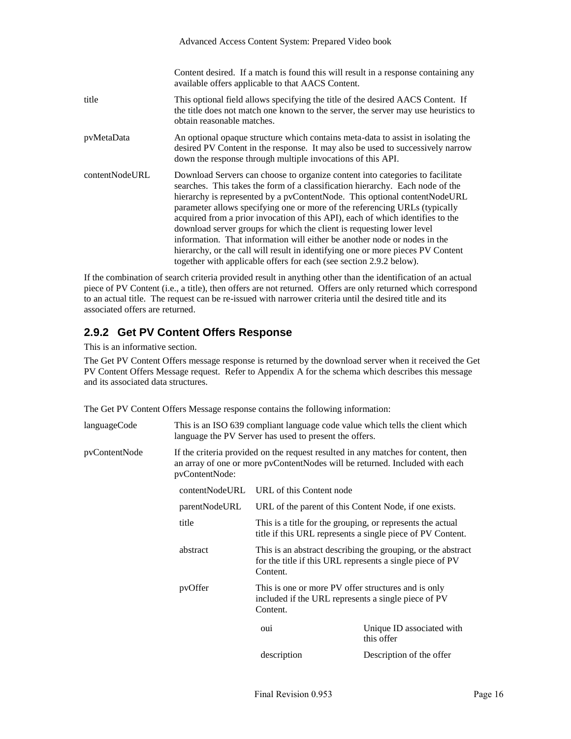| Advanced Access Content System: Prepared Video book |                                                                                                                                                                                                                                                                                                                                                                                                                                                                                                                                                                                                                                                                                                                             |  |  |  |  |  |
|-----------------------------------------------------|-----------------------------------------------------------------------------------------------------------------------------------------------------------------------------------------------------------------------------------------------------------------------------------------------------------------------------------------------------------------------------------------------------------------------------------------------------------------------------------------------------------------------------------------------------------------------------------------------------------------------------------------------------------------------------------------------------------------------------|--|--|--|--|--|
|                                                     | Content desired. If a match is found this will result in a response containing any<br>available offers applicable to that AACS Content.                                                                                                                                                                                                                                                                                                                                                                                                                                                                                                                                                                                     |  |  |  |  |  |
| title                                               | This optional field allows specifying the title of the desired AACS Content. If<br>the title does not match one known to the server, the server may use heuristics to<br>obtain reasonable matches.                                                                                                                                                                                                                                                                                                                                                                                                                                                                                                                         |  |  |  |  |  |
| pvMetaData                                          | An optional opaque structure which contains meta-data to assist in isolating the<br>desired PV Content in the response. It may also be used to successively narrow<br>down the response through multiple invocations of this API.                                                                                                                                                                                                                                                                                                                                                                                                                                                                                           |  |  |  |  |  |
| contentNodeURL                                      | Download Servers can choose to organize content into categories to facilitate<br>searches. This takes the form of a classification hierarchy. Each node of the<br>hierarchy is represented by a pvContentNode. This optional contentNodeURL<br>parameter allows specifying one or more of the referencing URLs (typically<br>acquired from a prior invocation of this API), each of which identifies to the<br>download server groups for which the client is requesting lower level<br>information. That information will either be another node or nodes in the<br>hierarchy, or the call will result in identifying one or more pieces PV Content<br>together with applicable offers for each (see section 2.9.2 below). |  |  |  |  |  |

If the combination of search criteria provided result in anything other than the identification of an actual piece of PV Content (i.e., a title), then offers are not returned. Offers are only returned which correspond to an actual title. The request can be re-issued with narrower criteria until the desired title and its associated offers are returned.

### <span id="page-27-0"></span>**2.9.2 Get PV Content Offers Response**

This is an informative section.

The Get PV Content Offers message response is returned by the download server when it received the Get PV Content Offers Message request. Refer to Appendix [A](#page-42-0) for the schema which describes this message and its associated data structures.

The Get PV Content Offers Message response contains the following information:

| languageCode  | This is an ISO 639 compliant language code value which tells the client which<br>language the PV Server has used to present the offers.                                            |                                                                                                                                       |                                         |  |  |  |
|---------------|------------------------------------------------------------------------------------------------------------------------------------------------------------------------------------|---------------------------------------------------------------------------------------------------------------------------------------|-----------------------------------------|--|--|--|
| pvContentNode | If the criteria provided on the request resulted in any matches for content, then<br>an array of one or more pvContentNodes will be returned. Included with each<br>pvContentNode: |                                                                                                                                       |                                         |  |  |  |
|               | contentNodeURL<br>URL of this Content node                                                                                                                                         |                                                                                                                                       |                                         |  |  |  |
|               | parentNodeURL                                                                                                                                                                      | URL of the parent of this Content Node, if one exists.                                                                                |                                         |  |  |  |
|               | title                                                                                                                                                                              | This is a title for the grouping, or represents the actual<br>title if this URL represents a single piece of PV Content.              |                                         |  |  |  |
|               | abstract                                                                                                                                                                           | This is an abstract describing the grouping, or the abstract<br>for the title if this URL represents a single piece of PV<br>Content. |                                         |  |  |  |
|               | pvOffer                                                                                                                                                                            | This is one or more PV offer structures and is only<br>included if the URL represents a single piece of PV<br>Content.                |                                         |  |  |  |
|               |                                                                                                                                                                                    | oui                                                                                                                                   | Unique ID associated with<br>this offer |  |  |  |
|               |                                                                                                                                                                                    | description                                                                                                                           | Description of the offer                |  |  |  |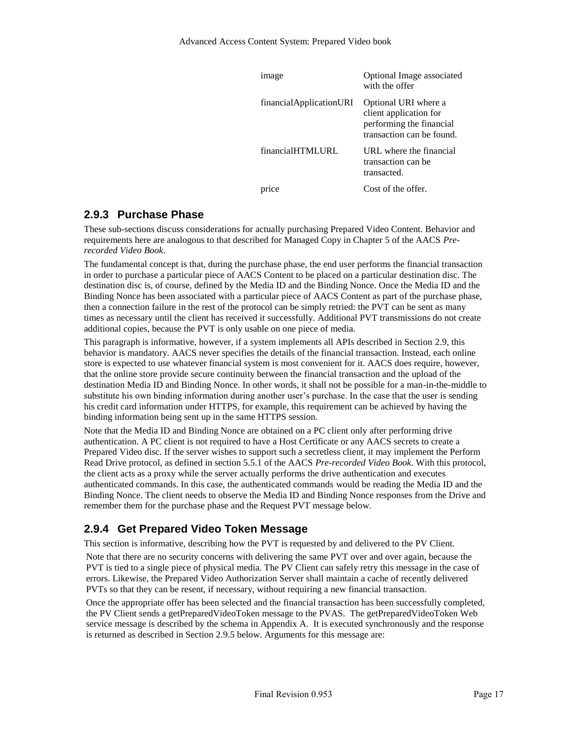| image                   | Optional Image associated<br>with the offer                                                             |
|-------------------------|---------------------------------------------------------------------------------------------------------|
| financialApplicationURI | Optional URI where a<br>client application for<br>performing the financial<br>transaction can be found. |
| financialHTMLURL        | URL where the financial<br>transaction can be<br>transacted.                                            |
|                         | Cost of the offer.                                                                                      |
|                         |                                                                                                         |

#### <span id="page-28-0"></span>**2.9.3 Purchase Phase**

These sub-sections discuss considerations for actually purchasing Prepared Video Content. Behavior and requirements here are analogous to that described for Managed Copy in Chapter 5 of the AACS *Prerecorded Video Book*.

The fundamental concept is that, during the purchase phase, the end user performs the financial transaction in order to purchase a particular piece of AACS Content to be placed on a particular destination disc. The destination disc is, of course, defined by the Media ID and the Binding Nonce. Once the Media ID and the Binding Nonce has been associated with a particular piece of AACS Content as part of the purchase phase, then a connection failure in the rest of the protocol can be simply retried: the PVT can be sent as many times as necessary until the client has received it successfully. Additional PVT transmissions do not create additional copies, because the PVT is only usable on one piece of media.

This paragraph is informative, however, if a system implements all APIs described in Section [2.9,](#page-26-0) this behavior is mandatory. AACS never specifies the details of the financial transaction. Instead, each online store is expected to use whatever financial system is most convenient for it. AACS does require, however, that the online store provide secure continuity between the financial transaction and the upload of the destination Media ID and Binding Nonce. In other words, it shall not be possible for a man-in-the-middle to substitute his own binding information during another user's purchase. In the case that the user is sending his credit card information under HTTPS, for example, this requirement can be achieved by having the binding information being sent up in the same HTTPS session.

Note that the Media ID and Binding Nonce are obtained on a PC client only after performing drive authentication. A PC client is not required to have a Host Certificate or any AACS secrets to create a Prepared Video disc. If the server wishes to support such a secretless client, it may implement the Perform Read Drive protocol, as defined in section 5.5.1 of the AACS *Pre-recorded Video Book.* With this protocol, the client acts as a proxy while the server actually performs the drive authentication and executes authenticated commands. In this case, the authenticated commands would be reading the Media ID and the Binding Nonce. The client needs to observe the Media ID and Binding Nonce responses from the Drive and remember them for the purchase phase and the Request PVT message below.

#### <span id="page-28-1"></span>**2.9.4 Get Prepared Video Token Message**

This section is informative, describing how the PVT is requested by and delivered to the PV Client.

Note that there are no security concerns with delivering the same PVT over and over again, because the PVT is tied to a single piece of physical media. The PV Client can safely retry this message in the case of errors. Likewise, the Prepared Video Authorization Server shall maintain a cache of recently delivered PVTs so that they can be resent, if necessary, without requiring a new financial transaction.

Once the appropriate offer has been selected and the financial transaction has been successfully completed, the PV Client sends a getPreparedVideoToken message to the PVAS. The getPreparedVideoToken Web service message is described by the schema in Appendix [A.](#page-42-0) It is executed synchronously and the response is returned as described in Sectio[n 2.9.5](#page-29-0) below. Arguments for this message are: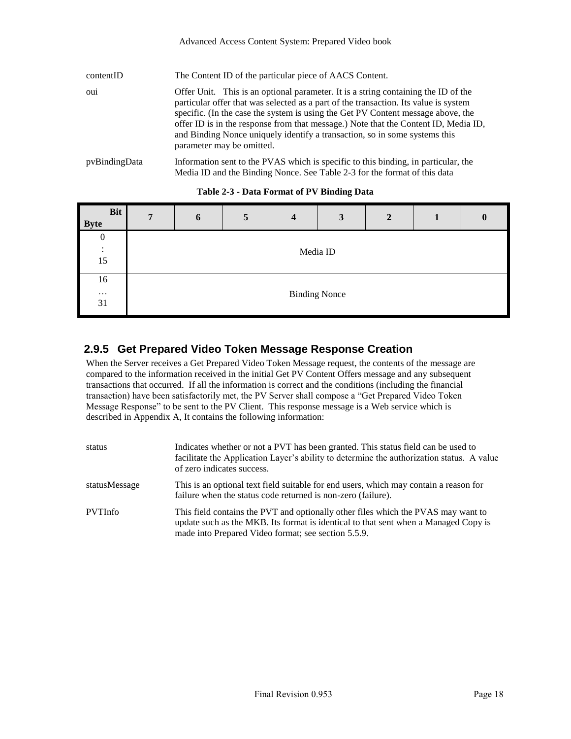| contentID     | The Content ID of the particular piece of AACS Content.                                                                                                                                                                                                                                                                                                                                                                                                          |
|---------------|------------------------------------------------------------------------------------------------------------------------------------------------------------------------------------------------------------------------------------------------------------------------------------------------------------------------------------------------------------------------------------------------------------------------------------------------------------------|
| oui           | Offer Unit. This is an optional parameter. It is a string containing the ID of the<br>particular offer that was selected as a part of the transaction. Its value is system<br>specific. (In the case the system is using the Get PV Content message above, the<br>offer ID is in the response from that message.) Note that the Content ID, Media ID,<br>and Binding Nonce uniquely identify a transaction, so in some systems this<br>parameter may be omitted. |
| pyBindingData | Information sent to the PVAS which is specific to this binding, in particular, the<br>Media ID and the Binding Nonce. See Table 2-3 for the format of this data                                                                                                                                                                                                                                                                                                  |

Advanced Access Content System: Prepared Video book

<span id="page-29-1"></span>

| <b>Bit</b><br><b>Byte</b>   | 7                    | 6 | 5 | $\overline{4}$ | 3 | $\overline{2}$ |  | $\boldsymbol{0}$ |  |
|-----------------------------|----------------------|---|---|----------------|---|----------------|--|------------------|--|
| $\boldsymbol{0}$<br>٠<br>15 | Media ID             |   |   |                |   |                |  |                  |  |
| 16<br>$\cdots$<br>31        | <b>Binding Nonce</b> |   |   |                |   |                |  |                  |  |

**Table 2-3 - Data Format of PV Binding Data**

### <span id="page-29-0"></span>**2.9.5 Get Prepared Video Token Message Response Creation**

When the Server receives a Get Prepared Video Token Message request, the contents of the message are compared to the information received in the initial Get PV Content Offers message and any subsequent transactions that occurred. If all the information is correct and the conditions (including the financial transaction) have been satisfactorily met, the PV Server shall compose a "Get Prepared Video Token Message Response" to be sent to the PV Client. This response message is a Web service which is described in Appendix [A,](#page-42-0) It contains the following information:

| status        | Indicates whether or not a PVT has been granted. This status field can be used to<br>facilitate the Application Layer's ability to determine the authorization status. A value<br>of zero indicates success.                    |
|---------------|---------------------------------------------------------------------------------------------------------------------------------------------------------------------------------------------------------------------------------|
| statusMessage | This is an optional text field suitable for end users, which may contain a reason for<br>failure when the status code returned is non-zero (failure).                                                                           |
| PVTInfo       | This field contains the PVT and optionally other files which the PVAS may want to<br>update such as the MKB. Its format is identical to that sent when a Managed Copy is<br>made into Prepared Video format; see section 5.5.9. |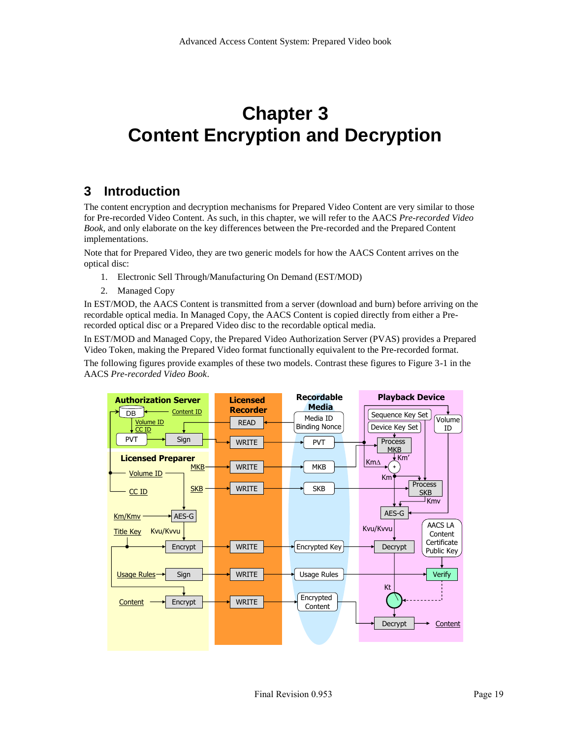## <span id="page-30-0"></span>**Chapter 3 Content Encryption and Decryption**

## <span id="page-30-1"></span>**3 Introduction**

The content encryption and decryption mechanisms for Prepared Video Content are very similar to those for Pre-recorded Video Content. As such, in this chapter, we will refer to the AACS *Pre-recorded Video Book*, and only elaborate on the key differences between the Pre-recorded and the Prepared Content implementations.

Note that for Prepared Video, they are two generic models for how the AACS Content arrives on the optical disc:

- 1. Electronic Sell Through/Manufacturing On Demand (EST/MOD)
- 2. Managed Copy

In EST/MOD, the AACS Content is transmitted from a server (download and burn) before arriving on the recordable optical media. In Managed Copy, the AACS Content is copied directly from either a Prerecorded optical disc or a Prepared Video disc to the recordable optical media.

In EST/MOD and Managed Copy, the Prepared Video Authorization Server (PVAS) provides a Prepared Video Token, making the Prepared Video format functionally equivalent to the Pre-recorded format.

The following figures provide examples of these two models. Contrast these figures to Figure 3-1 in the AACS *Pre-recorded Video Book*.

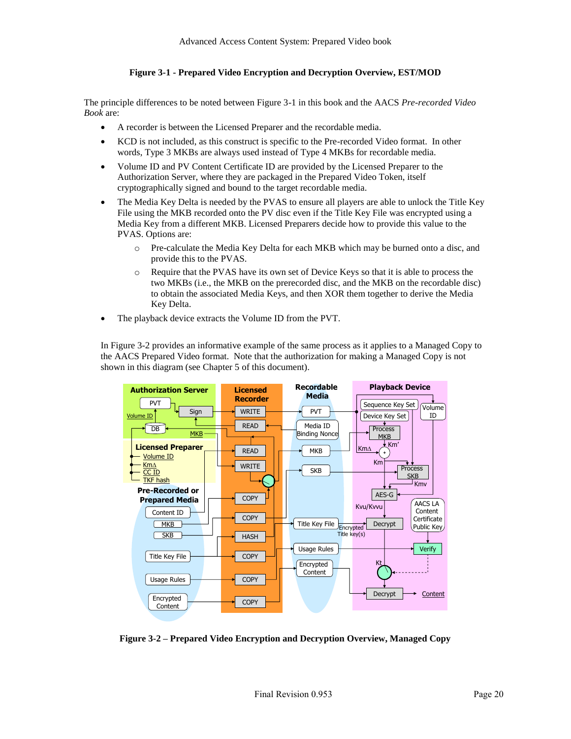#### **Figure 3-1 - Prepared Video Encryption and Decryption Overview, EST/MOD**

The principle differences to be noted between Figure 3-1 in this book and the AACS *Pre-recorded Video Book* are:

- A recorder is between the Licensed Preparer and the recordable media.
- KCD is not included, as this construct is specific to the Pre-recorded Video format. In other words, Type 3 MKBs are always used instead of Type 4 MKBs for recordable media.
- Volume ID and PV Content Certificate ID are provided by the Licensed Preparer to the Authorization Server, where they are packaged in the Prepared Video Token, itself cryptographically signed and bound to the target recordable media.
- The Media Key Delta is needed by the PVAS to ensure all players are able to unlock the Title Key File using the MKB recorded onto the PV disc even if the Title Key File was encrypted using a Media Key from a different MKB. Licensed Preparers decide how to provide this value to the PVAS. Options are:
	- o Pre-calculate the Media Key Delta for each MKB which may be burned onto a disc, and provide this to the PVAS.
	- o Require that the PVAS have its own set of Device Keys so that it is able to process the two MKBs (i.e., the MKB on the prerecorded disc, and the MKB on the recordable disc) to obtain the associated Media Keys, and then XOR them together to derive the Media Key Delta.
- The playback device extracts the Volume ID from the PVT.

In Figure 3-2 provides an informative example of the same process as it applies to a Managed Copy to the AACS Prepared Video format. Note that the authorization for making a Managed Copy is not shown in this diagram (see Chapter 5 of this document).



<span id="page-31-0"></span>**Figure 3-2 – Prepared Video Encryption and Decryption Overview, Managed Copy**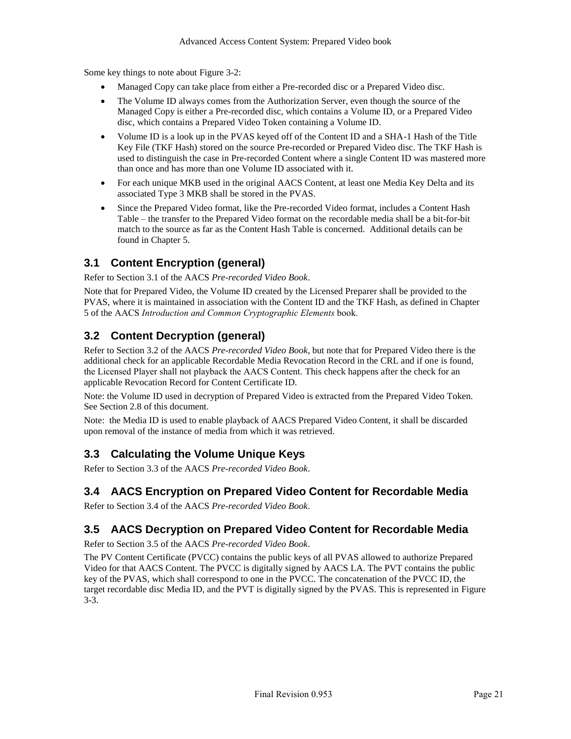Some key things to note about [Figure 3-2:](#page-31-0)

- Managed Copy can take place from either a Pre-recorded disc or a Prepared Video disc.
- The Volume ID always comes from the Authorization Server, even though the source of the Managed Copy is either a Pre-recorded disc, which contains a Volume ID, or a Prepared Video disc, which contains a Prepared Video Token containing a Volume ID.
- Volume ID is a look up in the PVAS keyed off of the Content ID and a SHA-1 Hash of the Title Key File (TKF Hash) stored on the source Pre-recorded or Prepared Video disc. The TKF Hash is used to distinguish the case in Pre-recorded Content where a single Content ID was mastered more than once and has more than one Volume ID associated with it.
- For each unique MKB used in the original AACS Content, at least one Media Key Delta and its associated Type 3 MKB shall be stored in the PVAS.
- Since the Prepared Video format, like the Pre-recorded Video format, includes a Content Hash Table – the transfer to the Prepared Video format on the recordable media shall be a bit-for-bit match to the source as far as the Content Hash Table is concerned. Additional details can be found in Chapter [5.](#page-38-1)

#### <span id="page-32-0"></span>**3.1 Content Encryption (general)**

Refer to Section 3.1 of the AACS *Pre-recorded Video Book*.

Note that for Prepared Video, the Volume ID created by the Licensed Preparer shall be provided to the PVAS, where it is maintained in association with the Content ID and the TKF Hash, as defined in Chapter 5 of the AACS *Introduction and Common Cryptographic Elements* book.

#### <span id="page-32-1"></span>**3.2 Content Decryption (general)**

Refer to Section 3.2 of the AACS *Pre-recorded Video Book*, but note that for Prepared Video there is the additional check for an applicable Recordable Media Revocation Record in the CRL and if one is found, the Licensed Player shall not playback the AACS Content. This check happens after the check for an applicable Revocation Record for Content Certificate ID.

Note: the Volume ID used in decryption of Prepared Video is extracted from the Prepared Video Token. See Section [2.8](#page-23-3) of this document.

Note: the Media ID is used to enable playback of AACS Prepared Video Content, it shall be discarded upon removal of the instance of media from which it was retrieved.

#### <span id="page-32-2"></span>**3.3 Calculating the Volume Unique Keys**

Refer to Section 3.3 of the AACS *Pre-recorded Video Book*.

#### <span id="page-32-3"></span>**3.4 AACS Encryption on Prepared Video Content for Recordable Media**

Refer to Section 3.4 of the AACS *Pre-recorded Video Book*.

#### <span id="page-32-4"></span>**3.5 AACS Decryption on Prepared Video Content for Recordable Media**

Refer to Section 3.5 of the AACS *Pre-recorded Video Book*.

The PV Content Certificate (PVCC) contains the public keys of all PVAS allowed to authorize Prepared Video for that AACS Content. The PVCC is digitally signed by AACS LA. The PVT contains the public key of the PVAS, which shall correspond to one in the PVCC. The concatenation of the PVCC ID, the target recordable disc Media ID, and the PVT is digitally signed by the PVAS. This is represented in Figure 3-3.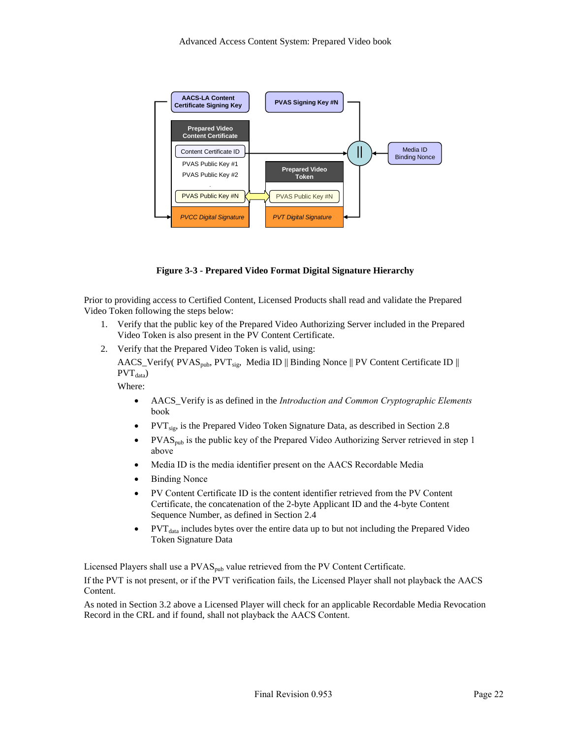

**Figure 3-3 - Prepared Video Format Digital Signature Hierarchy**

Prior to providing access to Certified Content, Licensed Products shall read and validate the Prepared Video Token following the steps below:

- 1. Verify that the public key of the Prepared Video Authorizing Server included in the Prepared Video Token is also present in the PV Content Certificate.
- 2. Verify that the Prepared Video Token is valid, using:

AACS\_Verify( $PVAS<sub>pub</sub>$ ,  $PVT<sub>sig</sub>$ , Media ID || Binding Nonce || PV Content Certificate ID ||  $PVT_{data}$ )

Where:

- AACS\_Verify is as defined in the *Introduction and Common Cryptographic Elements* book
- $PVT_{sig}$ , is the Prepared Video Token Signature Data, as described in Section [2.8](#page-23-3)
- PVAS<sub>pub</sub> is the public key of the Prepared Video Authorizing Server retrieved in step 1 above
- Media ID is the media identifier present on the AACS Recordable Media
- Binding Nonce
- PV Content Certificate ID is the content identifier retrieved from the PV Content Certificate, the concatenation of the 2-byte Applicant ID and the 4-byte Content Sequence Number, as defined in Sectio[n 2.4](#page-20-5)
- PVT $_{data}$  includes bytes over the entire data up to but not including the Prepared Video Token Signature Data

Licensed Players shall use a  $PVAS<sub>pub</sub>$  value retrieved from the PV Content Certificate.

If the PVT is not present, or if the PVT verification fails, the Licensed Player shall not playback the AACS Content.

As noted in Section 3.2 above a Licensed Player will check for an applicable Recordable Media Revocation Record in the CRL and if found, shall not playback the AACS Content.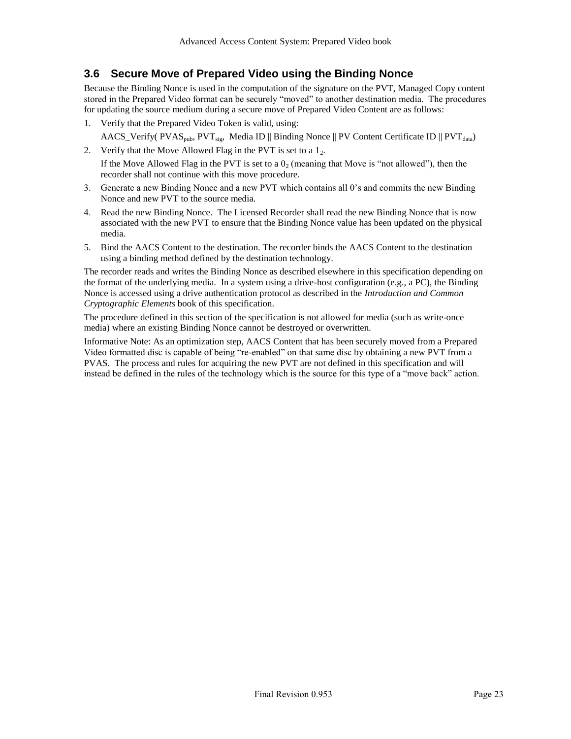#### <span id="page-34-0"></span>**3.6 Secure Move of Prepared Video using the Binding Nonce**

Because the Binding Nonce is used in the computation of the signature on the PVT, Managed Copy content stored in the Prepared Video format can be securely "moved" to another destination media. The procedures for updating the source medium during a secure move of Prepared Video Content are as follows:

- 1. Verify that the Prepared Video Token is valid, using: AACS\_Verify( PVAS<sub>pub</sub>, PVT<sub>sig</sub>, Media ID || Binding Nonce || PV Content Certificate ID || PVT<sub>data</sub>)
- 2. Verify that the Move Allowed Flag in the PVT is set to a  $1<sub>2</sub>$ . If the Move Allowed Flag in the PVT is set to a  $0<sub>2</sub>$  (meaning that Move is "not allowed"), then the recorder shall not continue with this move procedure.
- 3. Generate a new Binding Nonce and a new PVT which contains all 0's and commits the new Binding Nonce and new PVT to the source media.
- 4. Read the new Binding Nonce. The Licensed Recorder shall read the new Binding Nonce that is now associated with the new PVT to ensure that the Binding Nonce value has been updated on the physical media.
- 5. Bind the AACS Content to the destination. The recorder binds the AACS Content to the destination using a binding method defined by the destination technology.

The recorder reads and writes the Binding Nonce as described elsewhere in this specification depending on the format of the underlying media. In a system using a drive-host configuration (e.g., a PC), the Binding Nonce is accessed using a drive authentication protocol as described in the *Introduction and Common Cryptographic Elements* book of this specification.

The procedure defined in this section of the specification is not allowed for media (such as write-once media) where an existing Binding Nonce cannot be destroyed or overwritten.

Informative Note: As an optimization step, AACS Content that has been securely moved from a Prepared Video formatted disc is capable of being "re-enabled" on that same disc by obtaining a new PVT from a PVAS. The process and rules for acquiring the new PVT are not defined in this specification and will instead be defined in the rules of the technology which is the source for this type of a "move back" action.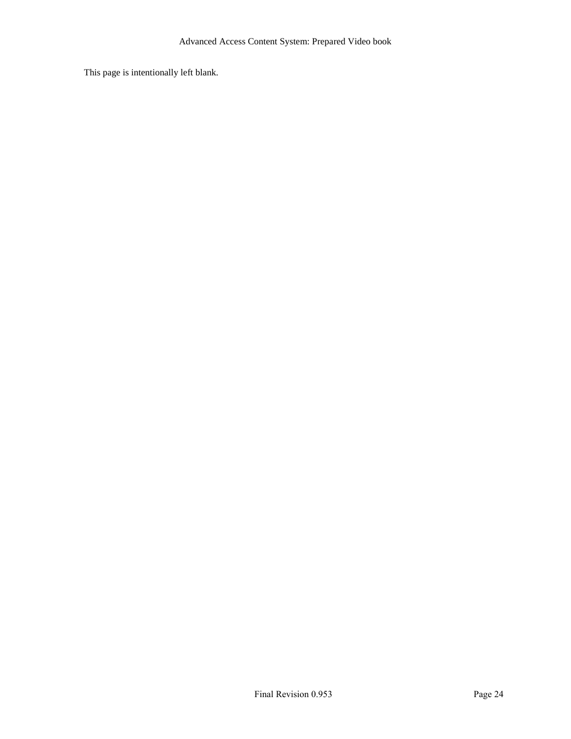This page is intentionally left blank.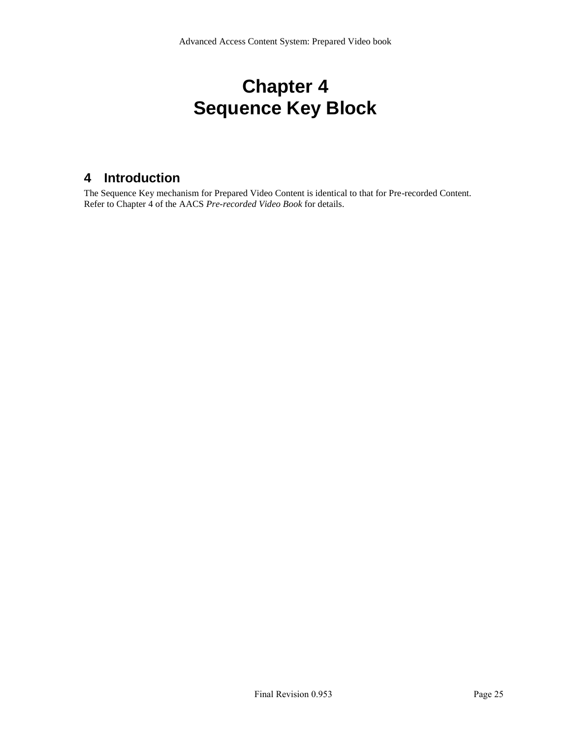# **Chapter 4 Sequence Key Block**

## <span id="page-36-1"></span><span id="page-36-0"></span>**4 Introduction**

The Sequence Key mechanism for Prepared Video Content is identical to that for Pre-recorded Content. Refer to Chapter 4 of the AACS *Pre-recorded Video Book* for details.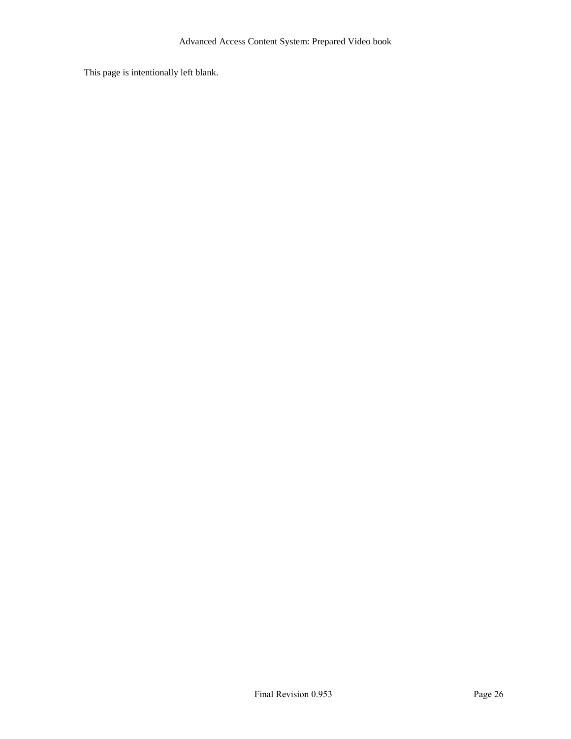This page is intentionally left blank.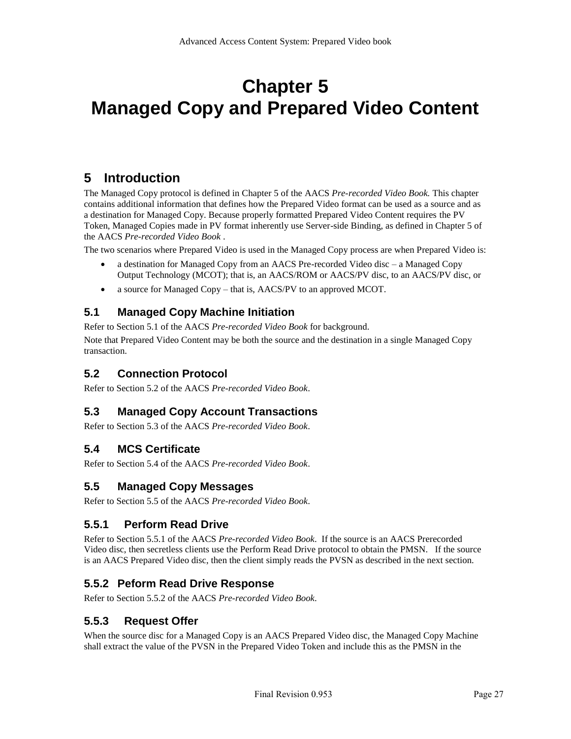# <span id="page-38-0"></span>**Chapter 5 Managed Copy and Prepared Video Content**

## <span id="page-38-1"></span>**5 Introduction**

The Managed Copy protocol is defined in Chapter 5 of the AACS *Pre-recorded Video Book.* This chapter contains additional information that defines how the Prepared Video format can be used as a source and as a destination for Managed Copy. Because properly formatted Prepared Video Content requires the PV Token, Managed Copies made in PV format inherently use Server-side Binding, as defined in Chapter 5 of the AACS *Pre-recorded Video Book* .

The two scenarios where Prepared Video is used in the Managed Copy process are when Prepared Video is:

- a destination for Managed Copy from an AACS Pre-recorded Video disc a Managed Copy Output Technology (MCOT); that is, an AACS/ROM or AACS/PV disc, to an AACS/PV disc, or
- a source for Managed Copy that is, AACS/PV to an approved MCOT.

#### <span id="page-38-2"></span>**5.1 Managed Copy Machine Initiation**

Refer to Section 5.1 of the AACS *Pre-recorded Video Book* for background.

Note that Prepared Video Content may be both the source and the destination in a single Managed Copy transaction.

#### <span id="page-38-3"></span>**5.2 Connection Protocol**

Refer to Section 5.2 of the AACS *Pre-recorded Video Book*.

#### <span id="page-38-4"></span>**5.3 Managed Copy Account Transactions**

Refer to Section 5.3 of the AACS *Pre-recorded Video Book*.

#### <span id="page-38-5"></span>**5.4 MCS Certificate**

Refer to Section 5.4 of the AACS *Pre-recorded Video Book*.

#### <span id="page-38-6"></span>**5.5 Managed Copy Messages**

Refer to Section 5.5 of the AACS *Pre-recorded Video Book*.

#### <span id="page-38-7"></span>**5.5.1 Perform Read Drive**

Refer to Section 5.5.1 of the AACS *Pre-recorded Video Book*. If the source is an AACS Prerecorded Video disc, then secretless clients use the Perform Read Drive protocol to obtain the PMSN. If the source is an AACS Prepared Video disc, then the client simply reads the PVSN as described in the next section.

#### <span id="page-38-8"></span>**5.5.2 Peform Read Drive Response**

Refer to Section 5.5.2 of the AACS *Pre-recorded Video Book*.

#### <span id="page-38-9"></span>**5.5.3 Request Offer**

When the source disc for a Managed Copy is an AACS Prepared Video disc, the Managed Copy Machine shall extract the value of the PVSN in the Prepared Video Token and include this as the PMSN in the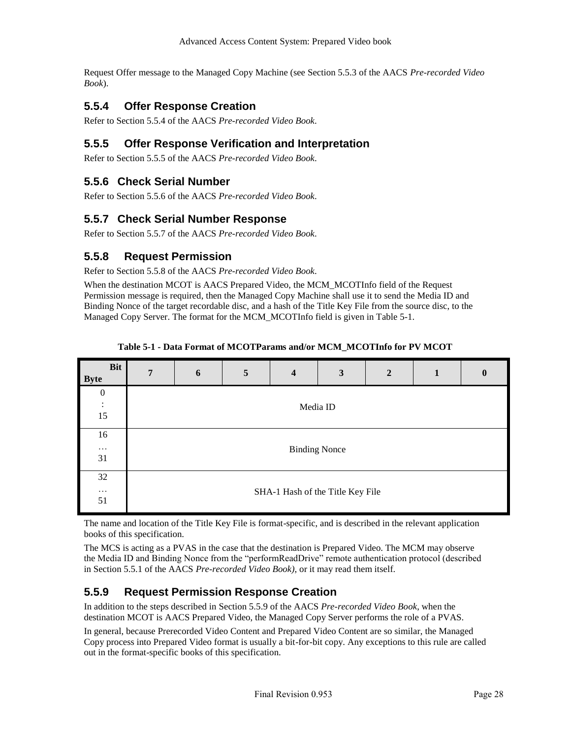Request Offer message to the Managed Copy Machine (see Section 5.5.3 of the AACS *Pre-recorded Video Book*).

#### <span id="page-39-0"></span>**5.5.4 Offer Response Creation**

Refer to Section 5.5.4 of the AACS *Pre-recorded Video Book*.

### <span id="page-39-1"></span>**5.5.5 Offer Response Verification and Interpretation**

Refer to Section 5.5.5 of the AACS *Pre-recorded Video Book*.

#### <span id="page-39-2"></span>**5.5.6 Check Serial Number**

Refer to Section 5.5.6 of the AACS *Pre-recorded Video Book*.

#### <span id="page-39-3"></span>**5.5.7 Check Serial Number Response**

Refer to Section 5.5.7 of the AACS *Pre-recorded Video Book*.

#### <span id="page-39-4"></span>**5.5.8 Request Permission**

Refer to Section 5.5.8 of the AACS *Pre-recorded Video Book*.

When the destination MCOT is AACS Prepared Video, the MCM\_MCOTInfo field of the Request Permission message is required, then the Managed Copy Machine shall use it to send the Media ID and Binding Nonce of the target recordable disc, and a hash of the Title Key File from the source disc, to the Managed Copy Server. The format for the MCM\_MCOTInfo field is given in Table 5-1.

| <b>Bit</b><br><b>Byte</b> | 7 | 6                                | 5 | $\overline{\mathbf{4}}$ | 3 | $\overline{2}$ | 1 | $\boldsymbol{0}$ |  |  |  |
|---------------------------|---|----------------------------------|---|-------------------------|---|----------------|---|------------------|--|--|--|
| $\boldsymbol{0}$          |   |                                  |   |                         |   |                |   |                  |  |  |  |
|                           |   | Media ID                         |   |                         |   |                |   |                  |  |  |  |
| 15                        |   |                                  |   |                         |   |                |   |                  |  |  |  |
| 16                        |   | <b>Binding Nonce</b>             |   |                         |   |                |   |                  |  |  |  |
| $\cdots$                  |   |                                  |   |                         |   |                |   |                  |  |  |  |
| 31                        |   |                                  |   |                         |   |                |   |                  |  |  |  |
| 32                        |   | SHA-1 Hash of the Title Key File |   |                         |   |                |   |                  |  |  |  |
| $\ldots$                  |   |                                  |   |                         |   |                |   |                  |  |  |  |
| 51                        |   |                                  |   |                         |   |                |   |                  |  |  |  |

**Table 5-1 - Data Format of MCOTParams and/or MCM\_MCOTInfo for PV MCOT**

The name and location of the Title Key File is format-specific, and is described in the relevant application books of this specification.

The MCS is acting as a PVAS in the case that the destination is Prepared Video. The MCM may observe the Media ID and Binding Nonce from the "performReadDrive" remote authentication protocol (described in Section 5.5.1 of the AACS *Pre-recorded Video Book)*, or it may read them itself.

### <span id="page-39-5"></span>**5.5.9 Request Permission Response Creation**

In addition to the steps described in Section 5.5.9 of the AACS *Pre-recorded Video Book*, when the destination MCOT is AACS Prepared Video, the Managed Copy Server performs the role of a PVAS.

In general, because Prerecorded Video Content and Prepared Video Content are so similar, the Managed Copy process into Prepared Video format is usually a bit-for-bit copy. Any exceptions to this rule are called out in the format-specific books of this specification.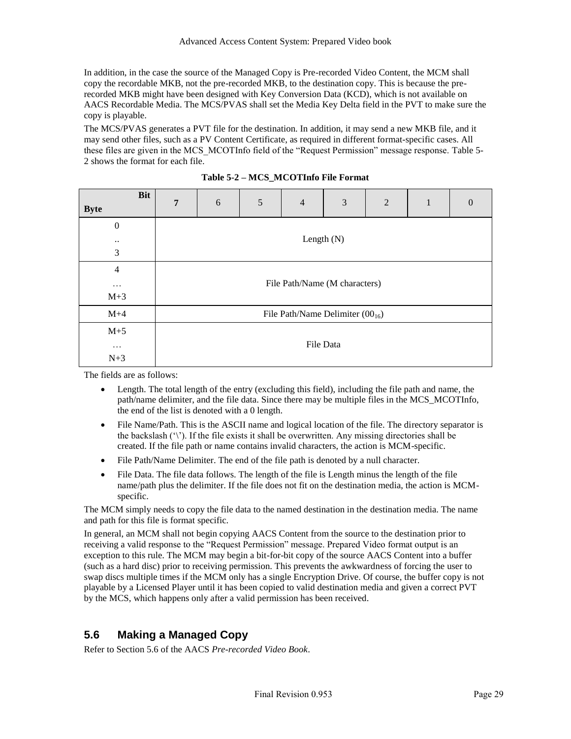In addition, in the case the source of the Managed Copy is Pre-recorded Video Content, the MCM shall copy the recordable MKB, not the pre-recorded MKB, to the destination copy. This is because the prerecorded MKB might have been designed with Key Conversion Data (KCD), which is not available on AACS Recordable Media. The MCS/PVAS shall set the Media Key Delta field in the PVT to make sure the copy is playable.

The MCS/PVAS generates a PVT file for the destination. In addition, it may send a new MKB file, and it may send other files, such as a PV Content Certificate, as required in different format-specific cases. All these files are given in the MCS MCOTInfo field of the "Request Permission" message response. [Table 5-](#page-40-1) [2](#page-40-1) shows the format for each file.

<span id="page-40-1"></span>

| <b>Bit</b><br><b>Byte</b> | $\overline{7}$ | 6                                    | 5 | $\overline{4}$ | 3 | $\overline{2}$ | 1 | $\overline{0}$ |  |
|---------------------------|----------------|--------------------------------------|---|----------------|---|----------------|---|----------------|--|
| $\boldsymbol{0}$          |                |                                      |   |                |   |                |   |                |  |
| $\ddotsc$                 |                | Length $(N)$                         |   |                |   |                |   |                |  |
| 3                         |                |                                      |   |                |   |                |   |                |  |
| $\overline{4}$            |                | File Path/Name (M characters)        |   |                |   |                |   |                |  |
| $\cdots$                  |                |                                      |   |                |   |                |   |                |  |
| $M+3$                     |                |                                      |   |                |   |                |   |                |  |
| $M+4$                     |                | File Path/Name Delimiter $(00_{16})$ |   |                |   |                |   |                |  |
| $M+5$                     |                |                                      |   |                |   |                |   |                |  |
| $\cdots$                  | File Data      |                                      |   |                |   |                |   |                |  |
| $N+3$                     |                |                                      |   |                |   |                |   |                |  |

**Table [5-](#page-38-1)2 – MCS\_MCOTInfo File Format**

The fields are as follows:

- Length. The total length of the entry (excluding this field), including the file path and name, the path/name delimiter, and the file data. Since there may be multiple files in the MCS\_MCOTInfo, the end of the list is denoted with a 0 length.
- File Name/Path. This is the ASCII name and logical location of the file. The directory separator is the backslash  $(\dot{\ })$ . If the file exists it shall be overwritten. Any missing directories shall be created. If the file path or name contains invalid characters, the action is MCM-specific.
- File Path/Name Delimiter. The end of the file path is denoted by a null character.
- File Data. The file data follows. The length of the file is Length minus the length of the file name/path plus the delimiter. If the file does not fit on the destination media, the action is MCMspecific.

The MCM simply needs to copy the file data to the named destination in the destination media. The name and path for this file is format specific.

In general, an MCM shall not begin copying AACS Content from the source to the destination prior to receiving a valid response to the "Request Permission" message. Prepared Video format output is an exception to this rule. The MCM may begin a bit-for-bit copy of the source AACS Content into a buffer (such as a hard disc) prior to receiving permission. This prevents the awkwardness of forcing the user to swap discs multiple times if the MCM only has a single Encryption Drive. Of course, the buffer copy is not playable by a Licensed Player until it has been copied to valid destination media and given a correct PVT by the MCS, which happens only after a valid permission has been received.

### <span id="page-40-0"></span>**5.6 Making a Managed Copy**

Refer to Section 5.6 of the AACS *Pre-recorded Video Book*.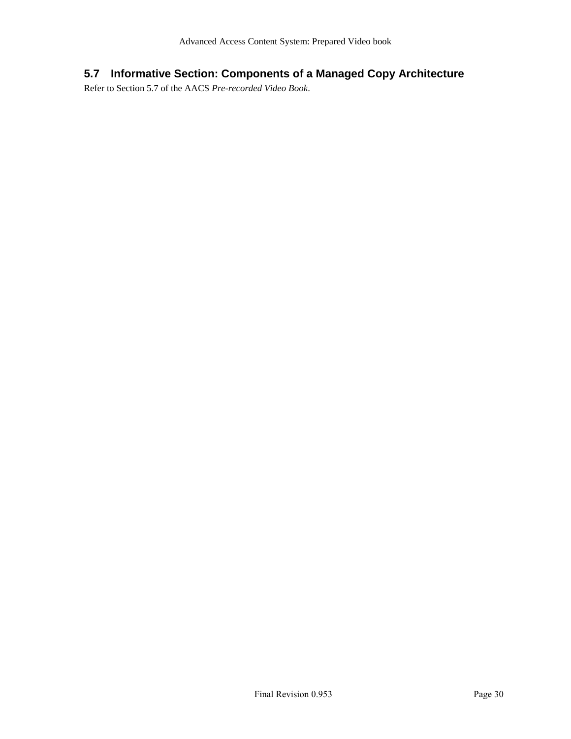## <span id="page-41-0"></span>**5.7 Informative Section: Components of a Managed Copy Architecture**

Refer to Section 5.7 of the AACS *Pre-recorded Video Book*.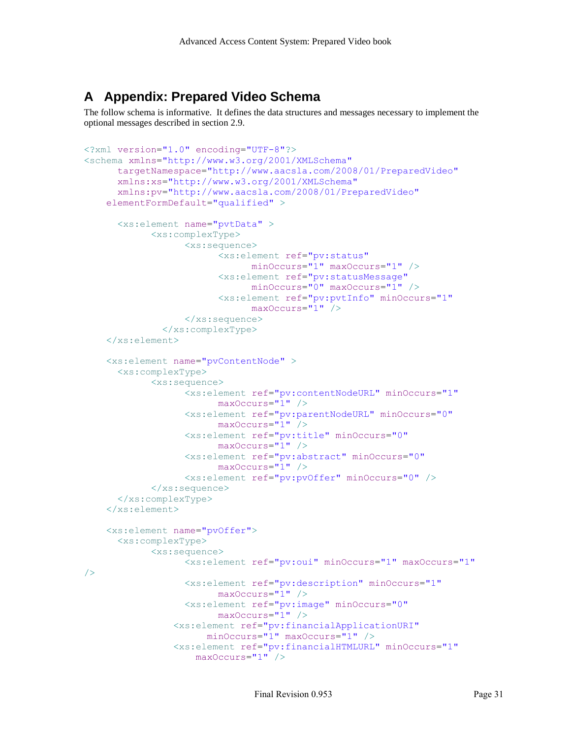### <span id="page-42-0"></span>**A Appendix: Prepared Video Schema**

The follow schema is informative. It defines the data structures and messages necessary to implement the optional messages described in section [2.9.](#page-26-0)

```
<?xml version="1.0" encoding="UTF-8"?>
<schema xmlns="http://www.w3.org/2001/XMLSchema" 
      targetNamespace="http://www.aacsla.com/2008/01/PreparedVideo" 
      xmlns:xs="http://www.w3.org/2001/XMLSchema"
      xmlns:pv="http://www.aacsla.com/2008/01/PreparedVideo"
    elementFormDefault="qualified" >
      <xs:element name="pvtData" >
            <xs:complexType>
                  <xs:sequence>
                        <xs:element ref="pv:status" 
                              minOccurs="1" maxOccurs="1" />
                        <xs:element ref="pv:statusMessage" 
                              minOccurs="0" maxOccurs="1" />
                        <xs:element ref="pv:pvtInfo" minOccurs="1" 
                              maxOccurs="1" />
                   </xs:sequence>
               </xs:complexType>
     </xs:element>
     <xs:element name="pvContentNode" >
       <xs:complexType>
             <xs:sequence>
                   <xs:element ref="pv:contentNodeURL" minOccurs="1" 
                        maxOccurs="1" />
                   <xs:element ref="pv:parentNodeURL" minOccurs="0" 
                       maxOccurs="1" />
                   <xs:element ref="pv:title" minOccurs="0" 
                        maxOccurs="1" />
                   <xs:element ref="pv:abstract" minOccurs="0" 
                        maxOccurs="1" />
                   <xs:element ref="pv:pvOffer" minOccurs="0" />
             </xs:sequence>
       </xs:complexType>
     </xs:element>
     <xs:element name="pvOffer">
       <xs:complexType>
             <xs:sequence>
                   <xs:element ref="pv:oui" minOccurs="1" maxOccurs="1" 
/>
                   <xs:element ref="pv:description" minOccurs="1" 
                        maxOccurs="1" />
                   <xs:element ref="pv:image" minOccurs="0" 
                        maxOccurs="1" />
                 <xs:element ref="pv:financialApplicationURI"
                       minOccurs="1" maxOccurs="1" />
                 <xs:element ref="pv:financialHTMLURL" minOccurs="1"
                     maxOccurs="1" />
```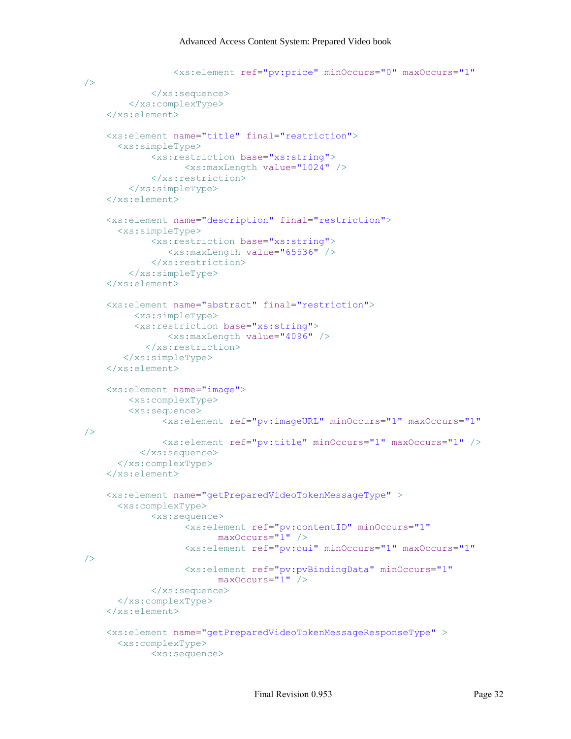```
 <xs:element ref="pv:price" minOccurs="0" maxOccurs="1" 
/>
             </xs:sequence>
         </xs:complexType>
     </xs:element> 
     <xs:element name="title" final="restriction">
       <xs:simpleType>
             <xs:restriction base="xs:string">
                  <xs:maxLength value="1024" />
             </xs:restriction>
         </xs:simpleType>
     </xs:element>
     <xs:element name="description" final="restriction">
       <xs:simpleType>
             <xs:restriction base="xs:string">
                <xs:maxLength value="65536" />
             </xs:restriction>
         </xs:simpleType>
     </xs:element>
     <xs:element name="abstract" final="restriction">
          <xs:simpleType>
          <xs:restriction base="xs:string">
                <xs:maxLength value="4096" />
            </xs:restriction>
        </xs:simpleType>
     </xs:element>
     <xs:element name="image">
         <xs:complexType>
         <xs:sequence>
               <xs:element ref="pv:imageURL" minOccurs="1" maxOccurs="1" 
/ <xs:element ref="pv:title" minOccurs="1" maxOccurs="1" />
           </xs:sequence>
       </xs:complexType>
     </xs:element>
     <xs:element name="getPreparedVideoTokenMessageType" >
       <xs:complexType>
             <xs:sequence>
                   <xs:element ref="pv:contentID" minOccurs="1" 
                         maxOccurs="1" />
                   <xs:element ref="pv:oui" minOccurs="1" maxOccurs="1" 
/ <xs:element ref="pv:pvBindingData" minOccurs="1" 
                        maxOccurs="1" />
             </xs:sequence>
       </xs:complexType>
     </xs:element>
     <xs:element name="getPreparedVideoTokenMessageResponseType" >
       <xs:complexType>
             <xs:sequence>
```